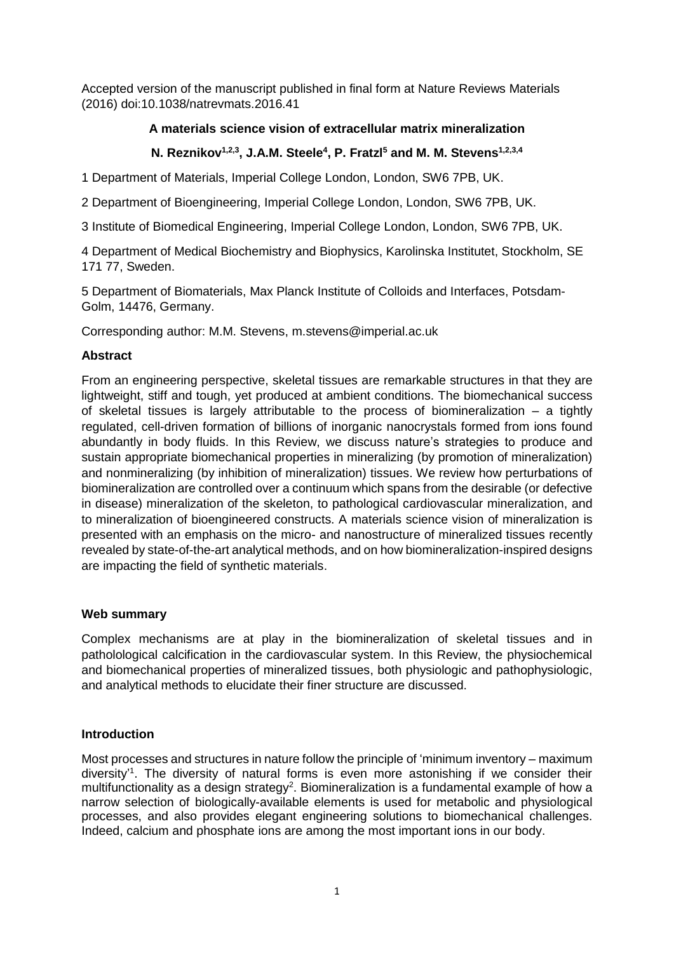Accepted version of the manuscript published in final form at Nature Reviews Materials (2016) doi:10.1038/natrevmats.2016.41

## **A materials science vision of extracellular matrix mineralization**

# **N. Reznikov1,2,3 , J.A.M. Steele<sup>4</sup> , P. Fratzl<sup>5</sup> and M. M. Stevens1,2,3,4**

1 Department of Materials, Imperial College London, London, SW6 7PB, UK.

2 Department of Bioengineering, Imperial College London, London, SW6 7PB, UK.

3 Institute of Biomedical Engineering, Imperial College London, London, SW6 7PB, UK.

4 Department of Medical Biochemistry and Biophysics, Karolinska Institutet, Stockholm, SE 171 77, Sweden.

5 Department of Biomaterials, Max Planck Institute of Colloids and Interfaces, Potsdam-Golm, 14476, Germany.

Corresponding author: M.M. Stevens, m.stevens@imperial.ac.uk

#### **Abstract**

From an engineering perspective, skeletal tissues are remarkable structures in that they are lightweight, stiff and tough, yet produced at ambient conditions. The biomechanical success of skeletal tissues is largely attributable to the process of biomineralization  $-$  a tightly regulated, cell-driven formation of billions of inorganic nanocrystals formed from ions found abundantly in body fluids. In this Review, we discuss nature's strategies to produce and sustain appropriate biomechanical properties in mineralizing (by promotion of mineralization) and nonmineralizing (by inhibition of mineralization) tissues. We review how perturbations of biomineralization are controlled over a continuum which spans from the desirable (or defective in disease) mineralization of the skeleton, to pathological cardiovascular mineralization, and to mineralization of bioengineered constructs. A materials science vision of mineralization is presented with an emphasis on the micro- and nanostructure of mineralized tissues recently revealed by state-of-the-art analytical methods, and on how biomineralization-inspired designs are impacting the field of synthetic materials.

## **Web summary**

Complex mechanisms are at play in the biomineralization of skeletal tissues and in patholological calcification in the cardiovascular system. In this Review, the physiochemical and biomechanical properties of mineralized tissues, both physiologic and pathophysiologic, and analytical methods to elucidate their finer structure are discussed.

## **Introduction**

Most processes and structures in nature follow the principle of 'minimum inventory – maximum diversity<sup>[1](#page-11-0)</sup>. The diversity of natural forms is even more astonishing if we consider their multifunctionality as a design strategy<sup>2</sup>[.](#page-11-1) Biomineralization is a fundamental example of how a narrow selection of biologically-available elements is used for metabolic and physiological processes, and also provides elegant engineering solutions to biomechanical challenges. Indeed, calcium and phosphate ions are among the most important ions in our body.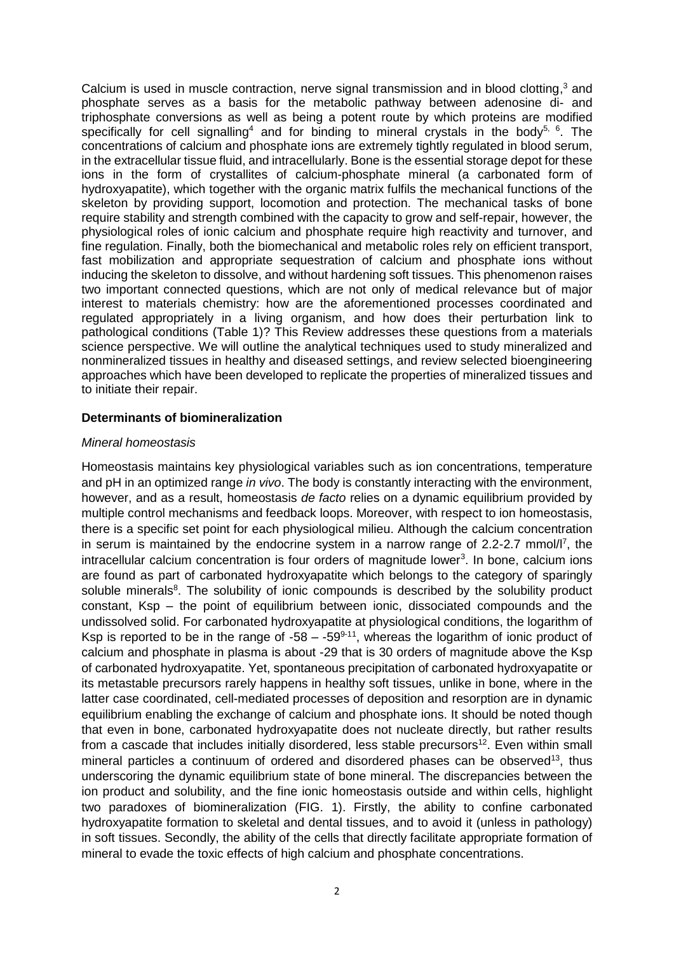Calcium is used in muscle contraction[,](#page-12-0) nerve signal transmission and in blood clotting,<sup>3</sup> and phosphate serves as a basis for the metabolic pathway between adenosine di- and triphosphate conversions as well as being a potent route by which proteins are modified specifically for cell signalling<sup>[4](#page-12-1)</sup> and for binding to mineral crystals in the body<sup>[5,](#page-12-2) [6](#page-12-3)</sup>. The concentrations of calcium and phosphate ions are extremely tightly regulated in blood serum, in the extracellular tissue fluid, and intracellularly. Bone is the essential storage depot for these ions in the form of crystallites of calcium-phosphate mineral (a carbonated form of hydroxyapatite), which together with the organic matrix fulfils the mechanical functions of the skeleton by providing support, locomotion and protection. The mechanical tasks of bone require stability and strength combined with the capacity to grow and self-repair, however, the physiological roles of ionic calcium and phosphate require high reactivity and turnover, and fine regulation. Finally, both the biomechanical and metabolic roles rely on efficient transport, fast mobilization and appropriate sequestration of calcium and phosphate ions without inducing the skeleton to dissolve, and without hardening soft tissues. This phenomenon raises two important connected questions, which are not only of medical relevance but of major interest to materials chemistry: how are the aforementioned processes coordinated and regulated appropriately in a living organism, and how does their perturbation link to pathological conditions (Table 1)? This Review addresses these questions from a materials science perspective. We will outline the analytical techniques used to study mineralized and nonmineralized tissues in healthy and diseased settings, and review selected bioengineering approaches which have been developed to replicate the properties of mineralized tissues and to initiate their repair.

#### **Determinants of biomineralization**

#### *Mineral homeostasis*

Homeostasis maintains key physiological variables such as ion concentrations, temperature and pH in an optimized range *in vivo*. The body is constantly interacting with the environment, however, and as a result, homeostasis *de facto* relies on a dynamic equilibrium provided by multiple control mechanisms and feedback loops. Moreover, with respect to ion homeostasis, there is a specific set point for each physiological milieu. Although the calcium concentration in serum is maintained by the endocrine system in a narrow range of 2.2-2.7 mmol[/l](#page-12-4)<sup>7</sup>, the intracellular calcium concentration is four orders of magnitude lower<sup>[3](#page-12-0)</sup>. In bone, calcium ions are found as part of carbonated hydroxyapatite which belongs to the category of sparingly soluble minerals<sup>[8](#page-12-5)</sup>. The solubility of ionic compounds is described by the solubility product constant, Ksp – the point of equilibrium between ionic, dissociated compounds and the undissolved solid. For carbonated hydroxyapatite at physiological conditions, the logarithm of Ksp is reported to be in the range of  $-58 - -59^{9-11}$  $-58 - -59^{9-11}$  $-58 - -59^{9-11}$ , whereas the logarithm of ionic product of calcium and phosphate in plasma is about -29 that is 30 orders of magnitude above the Ksp of carbonated hydroxyapatite. Yet, spontaneous precipitation of carbonated hydroxyapatite or its metastable precursors rarely happens in healthy soft tissues, unlike in bone, where in the latter case coordinated, cell-mediated processes of deposition and resorption are in dynamic equilibrium enabling the exchange of calcium and phosphate ions. It should be noted though that even in bone, carbonated hydroxyapatite does not nucleate directly, but rather results from a cascade that includes initially disordered, less stable precursors<sup>[12](#page-12-7)</sup>. Even within small mineral particles a continuum of ordered and disordered phases can be observed<sup>[13](#page-12-8)</sup>, thus underscoring the dynamic equilibrium state of bone mineral. The discrepancies between the ion product and solubility, and the fine ionic homeostasis outside and within cells, highlight two paradoxes of biomineralization (FIG. 1). Firstly, the ability to confine carbonated hydroxyapatite formation to skeletal and dental tissues, and to avoid it (unless in pathology) in soft tissues. Secondly, the ability of the cells that directly facilitate appropriate formation of mineral to evade the toxic effects of high calcium and phosphate concentrations.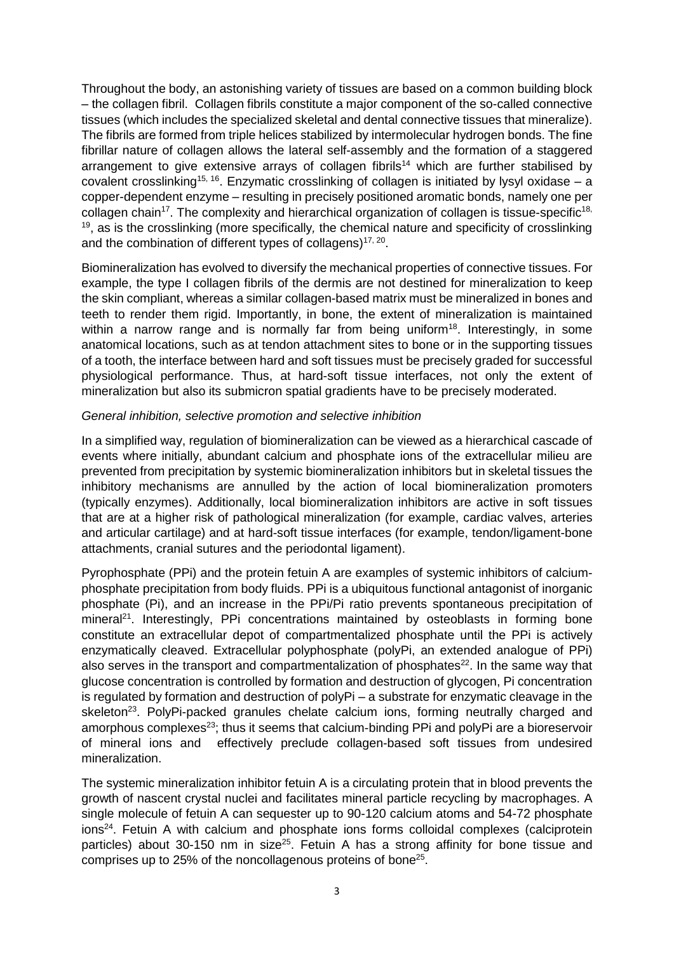Throughout the body, an astonishing variety of tissues are based on a common building block ‒ the collagen fibril. Collagen fibrils constitute a major component of the so-called connective tissues (which includes the specialized skeletal and dental connective tissues that mineralize). The fibrils are formed from triple helices stabilized by intermolecular hydrogen bonds. The fine fibrillar nature of collagen allows the lateral self-assembly and the formation of a staggered arrangement to give extensive arrays of collagen fibrils<sup>[14](#page-12-9)</sup> which are further stabilised by covalent crosslinking<sup>[15,](#page-12-10) [16](#page-12-11)</sup>. Enzymatic crosslinking of collagen is initiated by lysyl oxidase  $-$  a copper-dependent enzyme ‒ resulting in precisely positioned aromatic bonds, namely one per collagen chain<sup>[17](#page-13-0)</sup>. The complexity and hierarchical organization of collagen is tissue-specific<sup>18,</sup> [19](#page-13-2), as is the crosslinking (more specifically*,* the chemical nature and specificity of crosslinking and the combination of different types of collagens) $17,20$  $17,20$ .

Biomineralization has evolved to diversify the mechanical properties of connective tissues. For example, the type I collagen fibrils of the dermis are not destined for mineralization to keep the skin compliant, whereas a similar collagen-based matrix must be mineralized in bones and teeth to render them rigid. Importantly, in bone, the extent of mineralization is maintained within a narrow range and is normally far from being uniform<sup>[18](#page-13-1)</sup>. Interestingly, in some anatomical locations, such as at tendon attachment sites to bone or in the supporting tissues of a tooth, the interface between hard and soft tissues must be precisely graded for successful physiological performance. Thus, at hard-soft tissue interfaces, not only the extent of mineralization but also its submicron spatial gradients have to be precisely moderated.

## *General inhibition, selective promotion and selective inhibition*

In a simplified way, regulation of biomineralization can be viewed as a hierarchical cascade of events where initially, abundant calcium and phosphate ions of the extracellular milieu are prevented from precipitation by systemic biomineralization inhibitors but in skeletal tissues the inhibitory mechanisms are annulled by the action of local biomineralization promoters (typically enzymes). Additionally, local biomineralization inhibitors are active in soft tissues that are at a higher risk of pathological mineralization (for example, cardiac valves, arteries and articular cartilage) and at hard-soft tissue interfaces (for example, tendon/ligament-bone attachments, cranial sutures and the periodontal ligament).

Pyrophosphate (PPi) and the protein fetuin A are examples of systemic inhibitors of calciumphosphate precipitation from body fluids. PPi is a ubiquitous functional antagonist of inorganic phosphate (Pi), and an increase in the PPi/Pi ratio prevents spontaneous precipitation of mineral<sup>[21](#page-13-4)</sup>. Interestingly, PPi concentrations maintained by osteoblasts in forming bone constitute an extracellular depot of compartmentalized phosphate until the PPi is actively enzymatically cleaved. Extracellular polyphosphate (polyPi, an extended analogue of PPi) also serves in the transport and compartmentalization of phosphates<sup>[22](#page-13-5)</sup>. In the same way that glucose concentration is controlled by formation and destruction of glycogen, Pi concentration is regulated by formation and destruction of polyPi – a substrate for enzymatic cleavage in the skeleton<sup>[23](#page-13-6)</sup>. PolyPi-packed granules chelate calcium ions, forming neutrally charged and amorphous complexes<sup>[23](#page-13-6)</sup>; thus it seems that calcium-binding PPi and polyPi are a bioreservoir of mineral ions and effectively preclude collagen-based soft tissues from undesired mineralization.

The systemic mineralization inhibitor fetuin A is a circulating protein that in blood prevents the growth of nascent crystal nuclei and facilitates mineral particle recycling by macrophages. A single molecule of fetuin A can sequester up to 90-120 calcium atoms and 54-72 phosphate ions<sup>[24](#page-13-7)</sup>. Fetuin A with calcium and phosphate ions forms colloidal complexes (calciprotein particles) about 30-150 nm in size<sup>[25](#page-13-8)</sup>. Fetuin A has a strong affinity for bone tissue and comprises up to [25](#page-13-8)% of the noncollagenous proteins of bone $25$ .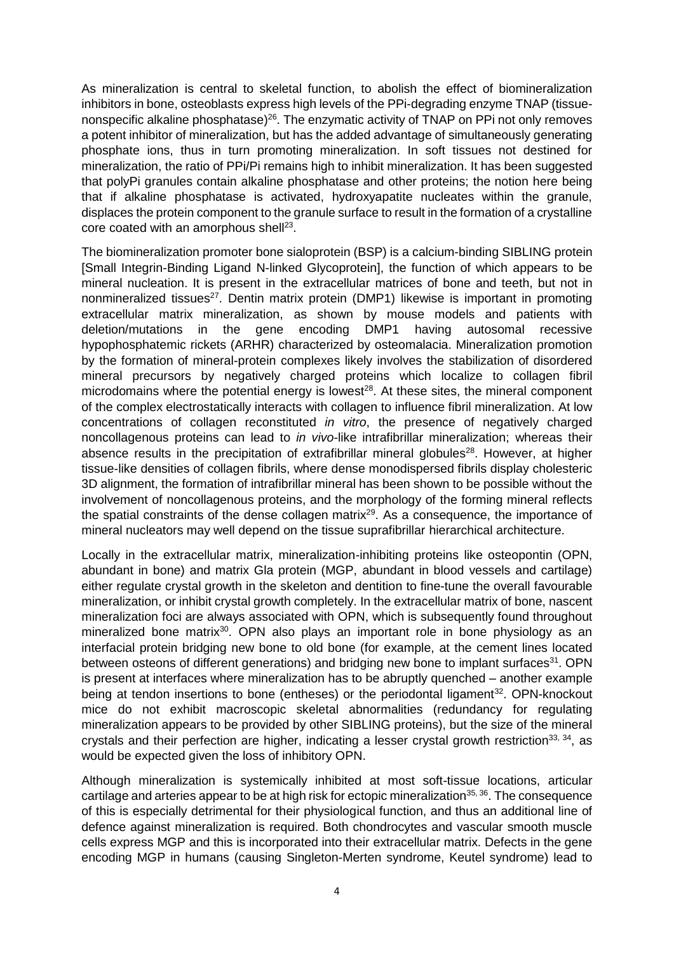As mineralization is central to skeletal function, to abolish the effect of biomineralization inhibitors in bone, osteoblasts express high levels of the PPi-degrading enzyme TNAP (tissue-nonspecific alkaline phosphatase)<sup>[26](#page-13-9)</sup>. The enzymatic activity of TNAP on PPi not only removes a potent inhibitor of mineralization, but has the added advantage of simultaneously generating phosphate ions, thus in turn promoting mineralization. In soft tissues not destined for mineralization, the ratio of PPi/Pi remains high to inhibit mineralization. It has been suggested that polyPi granules contain alkaline phosphatase and other proteins; the notion here being that if alkaline phosphatase is activated, hydroxyapatite nucleates within the granule, displaces the protein component to the granule surface to result in the formation of a crystalline core coated with an amorphous shell<sup>[23](#page-13-6)</sup>.

The biomineralization promoter bone sialoprotein (BSP) is a calcium-binding SIBLING protein [Small Integrin-Binding Ligand N-linked Glycoprotein], the function of which appears to be mineral nucleation. It is present in the extracellular matrices of bone and teeth, but not in nonmineralized tissues<sup>[27](#page-13-10)</sup>. Dentin matrix protein (DMP1) likewise is important in promoting extracellular matrix mineralization, as shown by mouse models and patients with deletion/mutations in the gene encoding DMP1 having autosomal recessive hypophosphatemic rickets (ARHR) characterized by osteomalacia. Mineralization promotion by the formation of mineral-protein complexes likely involves the stabilization of disordered mineral precursors by negatively charged proteins which localize to collagen fibril microdomains where the potential energy is lowest<sup>[28](#page-13-11)</sup>. At these sites, the mineral component of the complex electrostatically interacts with collagen to influence fibril mineralization. At low concentrations of collagen reconstituted *in vitro*, the presence of negatively charged noncollagenous proteins can lead to *in vivo*-like intrafibrillar mineralization; whereas their absence results in the precipitation of extrafibrillar mineral globules<sup>[28](#page-13-11)</sup>. However, at higher tissue-like densities of collagen fibrils, where dense monodispersed fibrils display cholesteric 3D alignment, the formation of intrafibrillar mineral has been shown to be possible without the involvement of noncollagenous proteins, and the morphology of the forming mineral reflects the spatial constraints of the dense collagen matrix<sup>[29](#page-13-12)</sup>. As a consequence, the importance of mineral nucleators may well depend on the tissue suprafibrillar hierarchical architecture.

Locally in the extracellular matrix, mineralization-inhibiting proteins like osteopontin (OPN, abundant in bone) and matrix Gla protein (MGP, abundant in blood vessels and cartilage) either regulate crystal growth in the skeleton and dentition to fine-tune the overall favourable mineralization, or inhibit crystal growth completely. In the extracellular matrix of bone, nascent mineralization foci are always associated with OPN, which is subsequently found throughout mineralized bone matrix<sup>[30](#page-13-13)</sup>. OPN also plays an important role in bone physiology as an interfacial protein bridging new bone to old bone (for example, at the cement lines located between osteons of different generations) and bridging new bone to implant surfaces<sup>[31](#page-13-14)</sup>. OPN is present at interfaces where mineralization has to be abruptly quenched – another example being at tendon insertions to bone (entheses) or the periodontal ligament<sup>[32](#page-14-0)</sup>. OPN-knockout mice do not exhibit macroscopic skeletal abnormalities (redundancy for regulating mineralization appears to be provided by other SIBLING proteins), but the size of the mineral crystals and their perfection are higher, indicating a lesser crystal growth restriction<sup>[33,](#page-14-1) [34](#page-14-2)</sup>, as would be expected given the loss of inhibitory OPN.

Although mineralization is systemically inhibited at most soft-tissue locations, articular cartilage and arteries appear to be at high risk for ectopic mineralization<sup>[35,](#page-14-3) [36](#page-14-4)</sup>. The consequence of this is especially detrimental for their physiological function, and thus an additional line of defence against mineralization is required. Both chondrocytes and vascular smooth muscle cells express MGP and this is incorporated into their extracellular matrix. Defects in the gene encoding MGP in humans (causing Singleton-Merten syndrome, Keutel syndrome) lead to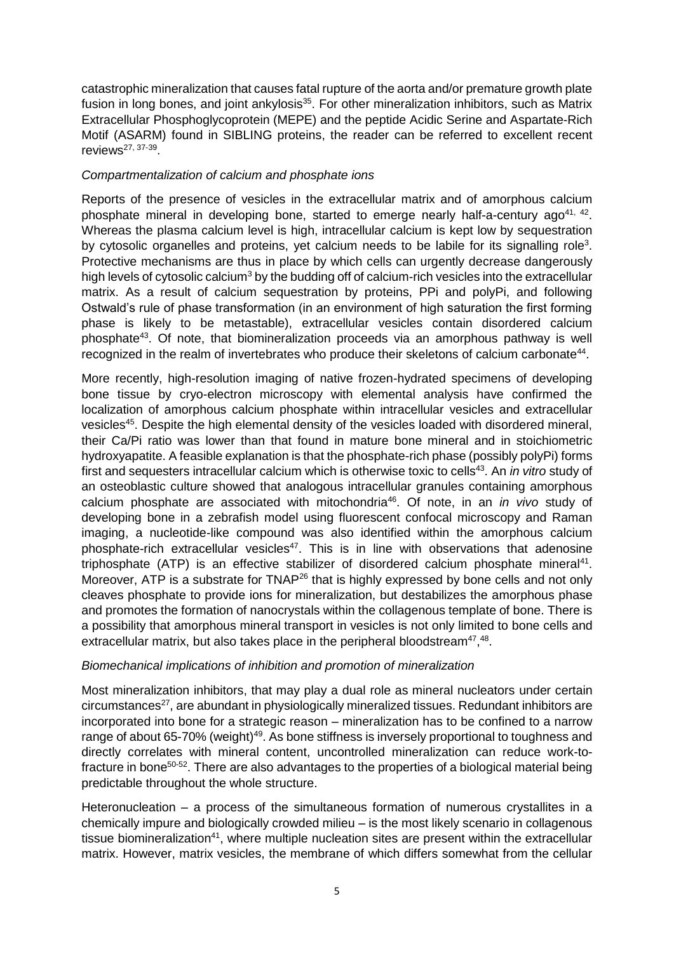catastrophic mineralization that causes fatal rupture of the aorta and/or premature growth plate fusion in long bones, and joint ankylosis<sup>[35](#page-14-3)</sup>. For other mineralization inhibitors, such as Matrix Extracellular Phosphoglycoprotein (MEPE) and the peptide Acidic Serine and Aspartate-Rich Motif (ASARM) found in SIBLING proteins, the reader can be referred to excellent recent reviews<sup>[27,](#page-13-10) [37-39](#page-14-5)</sup>.

#### *Compartmentalization of calcium and phosphate ions*

Reports of the presence of vesicles in the extracellular matrix and of amorphous calcium phosphate mineral in developing bone, started to emerge nearly half-a-century ago<sup>[41,](#page-14-7) [42](#page-14-8)</sup>. Whereas the plasma calcium level is high, intracellular calcium is kept low by sequestration by cytosolic organelles and proteins, yet calcium needs to be labile for its signalling role<sup>[3](#page-12-0)</sup>. Protective mechanisms are thus in place by which cells can urgently decrease dangerously high levels of cytosolic calcium<sup>[3](#page-12-0)</sup> by the budding off of calcium-rich vesicles into the extracellular matrix. As a result of calcium sequestration by proteins, PPi and polyPi, and following Ostwald's rule of phase transformation (in an environment of high saturation the first forming phase is likely to be metastable), extracellular vesicles contain disordered calcium phosphate<sup>[43](#page-14-9)</sup>. Of note, that biomineralization proceeds via an amorphous pathway is well recognized in the realm of invertebrates who produce their skeletons of calcium carbonate<sup>[44](#page-14-10)</sup>.

More recently, high-resolution imaging of native frozen-hydrated specimens of developing bone tissue by cryo-electron microscopy with elemental analysis have confirmed the localization of amorphous calcium phosphate within intracellular vesicles and extracellular vesicles<sup>[45](#page-14-11)</sup>. Despite the high elemental density of the vesicles loaded with disordered mineral, their Ca/Pi ratio was lower than that found in mature bone mineral and in stoichiometric hydroxyapatite. A feasible explanation is that the phosphate-rich phase (possibly polyPi) forms first and sequesters intracellular calcium which is otherwise toxic to cells<sup>[43](#page-14-9)</sup>. An *in vitro* study of an osteoblastic culture showed that analogous intracellular granules containing amorphous calcium phosphate are associated with mitochondria<sup>[46](#page-15-0)</sup>. Of note, in an *in vivo* study of developing bone in a zebrafish model using fluorescent confocal microscopy and Raman imaging, a nucleotide-like compound was also identified within the amorphous calcium phosphate-rich extracellular vesicles<sup>[47](#page-15-1)</sup>. This is in line with observations that adenosine triphosphate (ATP) is an effective stabilizer of disordered calcium phosphate mineral<sup>[41](#page-14-7)</sup>. Moreover, ATP is a substrate for TNAP<sup>[26](#page-13-9)</sup> that is highly expressed by bone cells and not only cleaves phosphate to provide ions for mineralization, but destabilizes the amorphous phase and promotes the formation of nanocrystals within the collagenous template of bone. There is a possibility that amorphous mineral transport in vesicles is not only limited to bone cells and extracellular matrix, but also takes place in the peripheral bloodstream $47,48$  $47,48$  $47,48$ .

## *Biomechanical implications of inhibition and promotion of mineralization*

Most mineralization inhibitors, that may play a dual role as mineral nucleators under certain circumstances<sup>[27](#page-13-10)</sup>, are abundant in physiologically mineralized tissues. Redundant inhibitors are incorporated into bone for a strategic reason – mineralization has to be confined to a narrow range of about 65-70% (weight)<sup>[49](#page-15-3)</sup>. As bone stiffness is inversely proportional to toughness and directly correlates with mineral content, uncontrolled mineralization can reduce work-to-fracture in bone<sup>[50-52](#page-15-4)</sup>[.](#page-15-4) There are also advantages to the properties of a biological material being predictable throughout the whole structure.

Heteronucleation – a process of the simultaneous formation of numerous crystallites in a chemically impure and biologically crowded milieu – is the most likely scenario in collagenous tissue biomineralization<sup>[41](#page-14-7)</sup>, where multiple nucleation sites are present within the extracellular matrix. However, matrix vesicles, the membrane of which differs somewhat from the cellular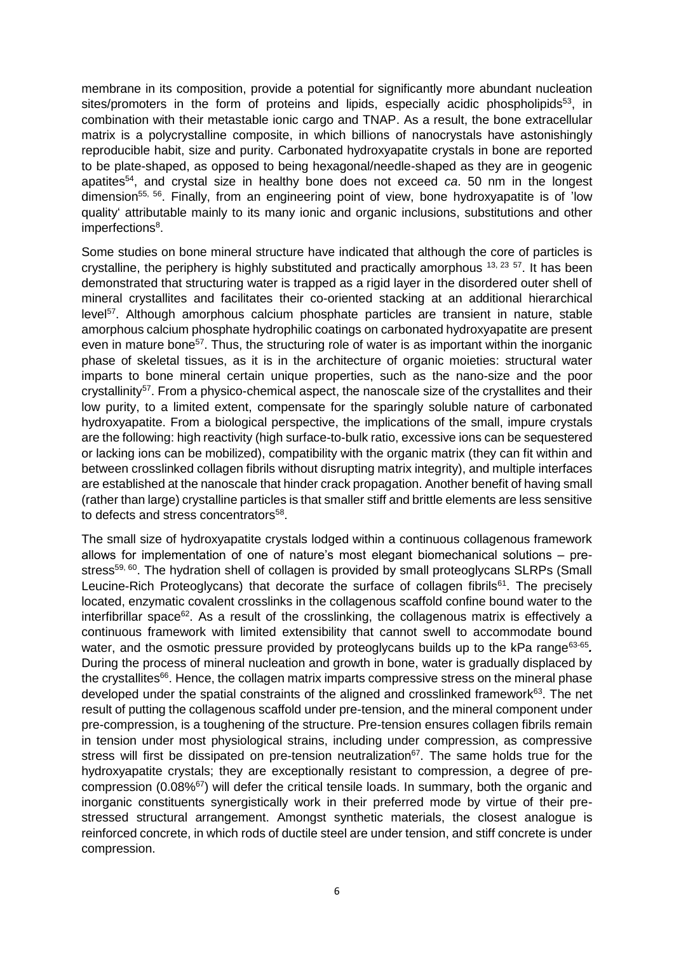membrane in its composition, provide a potential for significantly more abundant nucleation sites/promoters in the form of proteins and lipids, especially acidic phospholipids<sup>[53](#page-15-5)</sup>, in combination with their metastable ionic cargo and TNAP. As a result, the bone extracellular matrix is a polycrystalline composite, in which billions of nanocrystals have astonishingly reproducible habit, size and purity. Carbonated hydroxyapatite crystals in bone are reported to be plate-shaped, as opposed to being hexagonal/needle-shaped as they are in geogenic apatites[54](#page-15-6), and crystal size in healthy bone does not exceed *ca*. 50 nm in the longest dimension<sup>[55,](#page-15-7) [56](#page-15-8)</sup>. Finally, from an engineering point of view, bone hydroxyapatite is of 'low quality' attributable mainly to its many ionic and organic inclusions, substitutions and other imperfections<sup>8</sup>[.](#page-12-5)

Some studies on bone mineral structure have indicated that although the core of particles is crystalline, the periphery is highly substituted and practically amorphous  $13, 23, 57$  $13, 23, 57$  $13, 23, 57$  $13, 23, 57$ . It has been demonstrated that structuring water is trapped as a rigid layer in the disordered outer shell of mineral crystallites and facilitates their co-oriented stacking at an additional hierarchical level<sup>[57](#page-15-9)</sup>. Although amorphous calcium phosphate particles are transient in nature, stable amorphous calcium phosphate hydrophilic coatings on carbonated hydroxyapatite are present even in mature bone<sup>[57](#page-15-9)</sup>. Thus, the structuring role of water is as important within the inorganic phase of skeletal tissues, as it is in the architecture of organic moieties: structural water imparts to bone mineral certain unique properties, such as the nano-size and the poor crystallinity<sup>[57](#page-15-9)</sup>. From a physico-chemical aspect, the nanoscale size of the crystallites and their low purity, to a limited extent, compensate for the sparingly soluble nature of carbonated hydroxyapatite. From a biological perspective, the implications of the small, impure crystals are the following: high reactivity (high surface-to-bulk ratio, excessive ions can be sequestered or lacking ions can be mobilized), compatibility with the organic matrix (they can fit within and between crosslinked collagen fibrils without disrupting matrix integrity), and multiple interfaces are established at the nanoscale that hinder crack propagation. Another benefit of having small (rather than large) crystalline particles is that smaller stiff and brittle elements are less sensitive to defects and stress concentrators<sup>[58](#page-15-10)</sup>.

The small size of hydroxyapatite crystals lodged within a continuous collagenous framework allows for implementation of one of nature's most elegant biomechanical solutions – pre-stress<sup>[59,](#page-15-11) [60](#page-15-12)</sup>. The hydration shell of collagen is provided by small proteoglycans SLRPs (Small Leucine-Rich Proteoglycans) that decorate the surface of collagen fibrils<sup>[61](#page-15-13)</sup>. The precisely located, enzymatic covalent crosslinks in the collagenous scaffold confine bound water to the interfibrillar space<sup>[62](#page-16-0)</sup>. As a result of the crosslinking, the collagenous matrix is effectively a continuous framework with limited extensibility that cannot swell to accommodate bound water, and the osmotic pressure provided by proteoglycans builds up to the kPa range<sup>[63-65](#page-16-1)</sup>. During the process of mineral nucleation and growth in bone, water is gradually displaced by the crystallites<sup>[66](#page-16-2)</sup>. Hence, the collagen matrix imparts compressive stress on the mineral phase developed under the spatial constraints of the aligned and crosslinked framework<sup>[63](#page-16-1)</sup>. The net result of putting the collagenous scaffold under pre-tension, and the mineral component under pre-compression, is a toughening of the structure. Pre-tension ensures collagen fibrils remain in tension under most physiological strains, including under compression, as compressive stress will first be dissipated on pre-tension neutralization<sup>[67](#page-16-3)</sup>. The same holds true for the hydroxyapatite crystals; they are exceptionally resistant to compression, a degree of precompression (0.08%[67](#page-16-3)) will defer the critical tensile loads. In summary, both the organic and inorganic constituents synergistically work in their preferred mode by virtue of their prestressed structural arrangement. Amongst synthetic materials, the closest analogue is reinforced concrete, in which rods of ductile steel are under tension, and stiff concrete is under compression.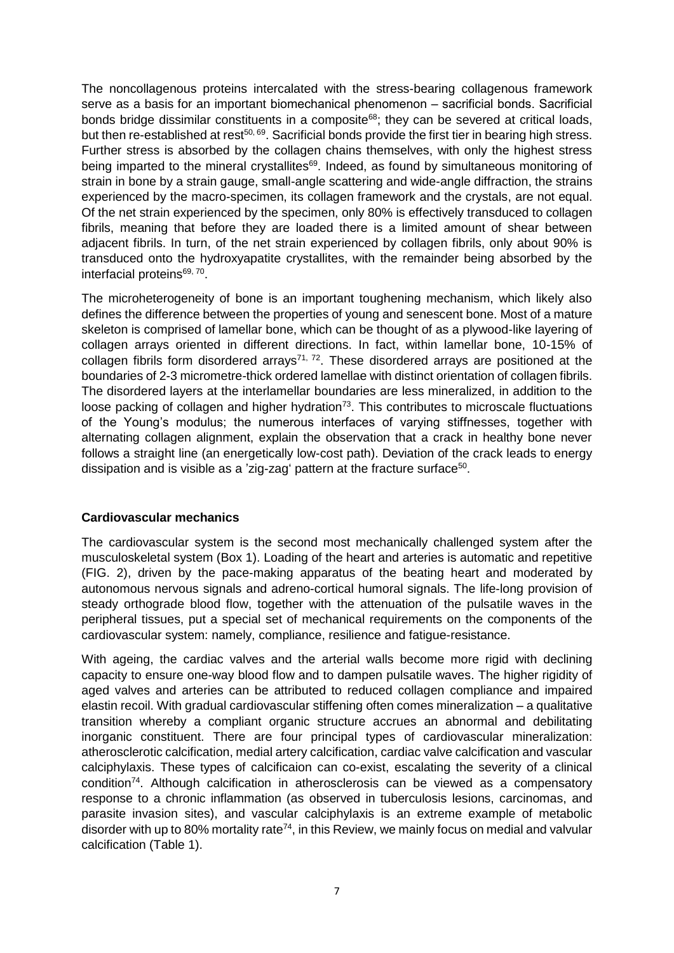The noncollagenous proteins intercalated with the stress-bearing collagenous framework serve as a basis for an important biomechanical phenomenon – sacrificial bonds. Sacrificial bonds bridge dissimilar constituents in a composite<sup>[68](#page-16-4)</sup>; they can be severed at critical loads, but then re-established at rest<sup>[50,](#page-15-4) [69](#page-16-5)</sup>. Sacrificial bonds provide the first tier in bearing high stress. Further stress is absorbed by the collagen chains themselves, with only the highest stress being imparted to the mineral crystallites<sup>[69](#page-16-5)</sup>. Indeed, as found by simultaneous monitoring of strain in bone by a strain gauge, small-angle scattering and wide-angle diffraction, the strains experienced by the macro-specimen, its collagen framework and the crystals, are not equal. Of the net strain experienced by the specimen, only 80% is effectively transduced to collagen fibrils, meaning that before they are loaded there is a limited amount of shear between adjacent fibrils. In turn, of the net strain experienced by collagen fibrils, only about 90% is transduced onto the hydroxyapatite crystallites, with the remainder being absorbed by the interfacial proteins<sup>[69,](#page-16-5) [70](#page-16-6)</sup>.

The microheterogeneity of bone is an important toughening mechanism, which likely also defines the difference between the properties of young and senescent bone. Most of a mature skeleton is comprised of lamellar bone, which can be thought of as a plywood-like layering of collagen arrays oriented in different directions. In fact, within lamellar bone, 10-15% of collagen fibrils form disordered arrays<sup>[71,](#page-16-7) [72](#page-16-8)</sup>. These disordered arrays are positioned at the boundaries of 2-3 micrometre-thick ordered lamellae with distinct orientation of collagen fibrils. The disordered layers at the interlamellar boundaries are less mineralized, in addition to the loose packing of collagen and higher hydration<sup>[73](#page-16-9)</sup>. This contributes to microscale fluctuations of the Young's modulus; the numerous interfaces of varying stiffnesses, together with alternating collagen alignment, explain the observation that a crack in healthy bone never follows a straight line (an energetically low-cost path). Deviation of the crack leads to energy dissipation and is visible as a 'zig-zag' pattern at the fracture surface<sup>[50](#page-15-4)</sup>.

## **Cardiovascular mechanics**

The cardiovascular system is the second most mechanically challenged system after the musculoskeletal system (Box 1). Loading of the heart and arteries is automatic and repetitive (FIG. 2), driven by the pace-making apparatus of the beating heart and moderated by autonomous nervous signals and adreno-cortical humoral signals. The life-long provision of steady orthograde blood flow, together with the attenuation of the pulsatile waves in the peripheral tissues, put a special set of mechanical requirements on the components of the cardiovascular system: namely, compliance, resilience and fatigue-resistance.

With ageing, the cardiac valves and the arterial walls become more rigid with declining capacity to ensure one-way blood flow and to dampen pulsatile waves. The higher rigidity of aged valves and arteries can be attributed to reduced collagen compliance and impaired elastin recoil. With gradual cardiovascular stiffening often comes mineralization – a qualitative transition whereby a compliant organic structure accrues an abnormal and debilitating inorganic constituent. There are four principal types of cardiovascular mineralization: atherosclerotic calcification, medial artery calcification, cardiac valve calcification and vascular calciphylaxis. These types of calcificaion can co-exist, escalating the severity of a clinical condition<sup>[74](#page-16-10)</sup>. Although calcification in atherosclerosis can be viewed as a compensatory response to a chronic inflammation (as observed in tuberculosis lesions, carcinomas, and parasite invasion sites), and vascular calciphylaxis is an extreme example of metabolic disorder with up to 80% mortality rate<sup>[74](#page-16-10)</sup>, in this Review, we mainly focus on medial and valvular calcification (Table 1).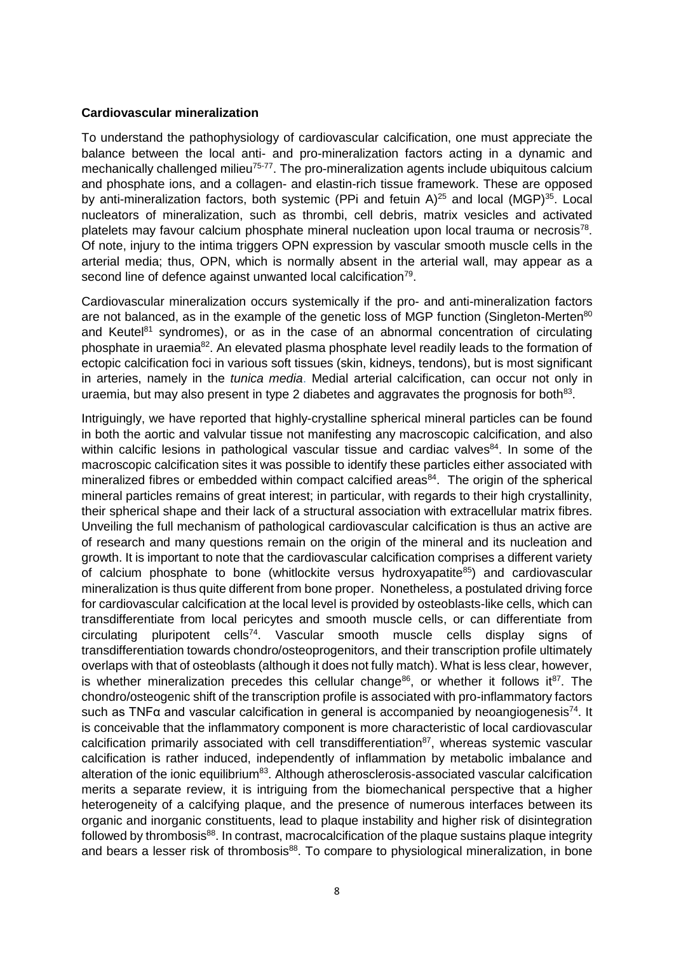#### **Cardiovascular mineralization**

To understand the pathophysiology of cardiovascular calcification, one must appreciate the balance between the local anti- and pro-mineralization factors acting in a dynamic and mechanically challenged milieu<sup>[75-77](#page-16-11)</sup>. The pro-mineralization agents include ubiquitous calcium and phosphate ions, and a collagen- and elastin-rich tissue framework. These are opposed by anti-mineralization factors, both systemic (PPi and fetuin  $A)^{25}$  $A)^{25}$  $A)^{25}$  and local (MGP)<sup>[35](#page-14-3)</sup>. Local nucleators of mineralization, such as thrombi, cell debris, matrix vesicles and activated platelets may favour calcium phosphate mineral nucleation upon local trauma or necrosis<sup>[78](#page-17-0)</sup>. Of note, injury to the intima triggers OPN expression by vascular smooth muscle cells in the arterial media; thus, OPN, which is normally absent in the arterial wall, may appear as a second line of defence against unwanted local calcification<sup>[79](#page-17-1)</sup>.

Cardiovascular mineralization occurs systemically if the pro- and anti-mineralization factors are not balanced, as in the example of the genetic loss of MGP function (Singleton-Merten<sup>[80](#page-17-2)</sup>) and Keutel $81$  syndromes), or as in the case of an abnormal concentration of circulating phosphate in uraemia<sup>[82](#page-17-4)</sup>. An elevated plasma phosphate level readily leads to the formation of ectopic calcification foci in various soft tissues (skin, kidneys, tendons), but is most significant in arteries, namely in the *tunica media*. Medial arterial calcification, can occur not only in uraemia, but may also present in type 2 diabetes and aggravates the prognosis for both $^{83}$  $^{83}$  $^{83}$ .

Intriguingly, we have reported that highly-crystalline spherical mineral particles can be found in both the aortic and valvular tissue not manifesting any macroscopic calcification, and also within calcific lesions in pathological vascular tissue and cardiac valves<sup>[84](#page-17-6)</sup>. In some of the macroscopic calcification sites it was possible to identify these particles either associated with mineralized fibres or embedded within compact calcified areas<sup>[84](#page-17-6)</sup>. The origin of the spherical mineral particles remains of great interest; in particular, with regards to their high crystallinity, their spherical shape and their lack of a structural association with extracellular matrix fibres. Unveiling the full mechanism of pathological cardiovascular calcification is thus an active are of research and many questions remain on the origin of the mineral and its nucleation and growth. It is important to note that the cardiovascular calcification comprises a different variety of calcium phosphate to bone (whitlockite versus hydroxyapatite $85$ ) and cardiovascular mineralization is thus quite different from bone proper. Nonetheless, a postulated driving force for cardiovascular calcification at the local level is provided by osteoblasts-like cells, which can transdifferentiate from local pericytes and smooth muscle cells, or can differentiate from circulating pluripotent cells<sup>[74](#page-16-10)</sup>. Vascular smooth muscle cells display signs of transdifferentiation towards chondro/osteoprogenitors, and their transcription profile ultimately overlaps with that of osteoblasts (although it does not fully match). What is less clear, however, is whether mineralization precedes this cellular change<sup>[86](#page-17-8)</sup>, or whether it follows it<sup>[87](#page-17-9)</sup>. The chondro/osteogenic shift of the transcription profile is associated with pro-inflammatory factors such as TNF $\alpha$  and vascular calcification in general is accompanied by neoangiogenesis<sup>[74](#page-16-10)</sup>. It is conceivable that the inflammatory component is more characteristic of local cardiovascular calcification primarily associated with cell transdifferentiation $87$ , whereas systemic vascular calcification is rather induced, independently of inflammation by metabolic imbalance and alteration of the ionic equilibrium<sup>[83](#page-17-5)</sup>. Although atherosclerosis-associated vascular calcification merits a separate review, it is intriguing from the biomechanical perspective that a higher heterogeneity of a calcifying plaque, and the presence of numerous interfaces between its organic and inorganic constituents, lead to plaque instability and higher risk of disintegration followed by thrombosis<sup>[88](#page-17-10)</sup>. In contrast, macrocalcification of the plaque sustains plaque integrity and bears a lesser risk of thrombosis<sup>[88](#page-17-10)</sup>. To compare to physiological mineralization, in bone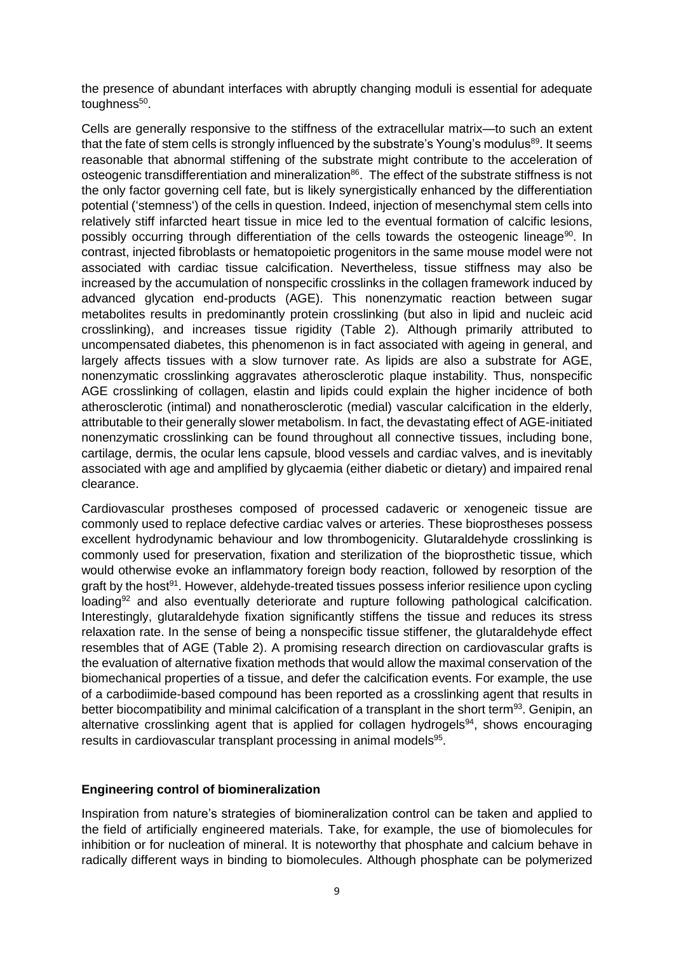the presence of abundant interfaces with abruptly changing moduli is essential for adequate toughness<sup>[50](#page-15-4)</sup>.

Cells are generally responsive to the stiffness of the extracellular matrix—to such an extent that the fate of stem cells is strongly influenced by the substrate's Young's modulus<sup>[89](#page-17-11)</sup>. It seems reasonable that abnormal stiffening of the substrate might contribute to the acceleration of osteogenic transdifferentiation and mineralization<sup>[86](#page-17-8)</sup>. The effect of the substrate stiffness is not the only factor governing cell fate, but is likely synergistically enhanced by the differentiation potential ('stemness') of the cells in question. Indeed, injection of mesenchymal stem cells into relatively stiff infarcted heart tissue in mice led to the eventual formation of calcific lesions, possibly occurring through differentiation of the cells towards the osteogenic lineage<sup>[90](#page-18-0)</sup>. In contrast, injected fibroblasts or hematopoietic progenitors in the same mouse model were not associated with cardiac tissue calcification. Nevertheless, tissue stiffness may also be increased by the accumulation of nonspecific crosslinks in the collagen framework induced by advanced glycation end-products (AGE). This nonenzymatic reaction between sugar metabolites results in predominantly protein crosslinking (but also in lipid and nucleic acid crosslinking), and increases tissue rigidity (Table 2). Although primarily attributed to uncompensated diabetes, this phenomenon is in fact associated with ageing in general, and largely affects tissues with a slow turnover rate. As lipids are also a substrate for AGE, nonenzymatic crosslinking aggravates atherosclerotic plaque instability. Thus, nonspecific AGE crosslinking of collagen, elastin and lipids could explain the higher incidence of both atherosclerotic (intimal) and nonatherosclerotic (medial) vascular calcification in the elderly, attributable to their generally slower metabolism. In fact, the devastating effect of AGE-initiated nonenzymatic crosslinking can be found throughout all connective tissues, including bone, cartilage, dermis, the ocular lens capsule, blood vessels and cardiac valves, and is inevitably associated with age and amplified by glycaemia (either diabetic or dietary) and impaired renal clearance.

Cardiovascular prostheses composed of processed cadaveric or xenogeneic tissue are commonly used to replace defective cardiac valves or arteries. These bioprostheses possess excellent hydrodynamic behaviour and low thrombogenicity. Glutaraldehyde crosslinking is commonly used for preservation, fixation and sterilization of the bioprosthetic tissue, which would otherwise evoke an inflammatory foreign body reaction, followed by resorption of the graft by the host<sup>[91](#page-18-1)</sup>. However, aldehyde-treated tissues possess inferior resilience upon cycling loading<sup>[92](#page-18-2)</sup> and also eventually deteriorate and rupture following pathological calcification. Interestingly, glutaraldehyde fixation significantly stiffens the tissue and reduces its stress relaxation rate. In the sense of being a nonspecific tissue stiffener, the glutaraldehyde effect resembles that of AGE (Table 2). A promising research direction on cardiovascular grafts is the evaluation of alternative fixation methods that would allow the maximal conservation of the biomechanical properties of a tissue, and defer the calcification events. For example, the use of a carbodiimide-based compound has been reported as a crosslinking agent that results in better biocompatibility and minimal calcification of a transplant in the short term<sup>[93](#page-18-3)</sup>. Genipin, an alternative crosslinking agent that is applied for collagen hydrogels $94$ , shows encouraging results in cardiovascular transplant processing in animal models<sup>[95](#page-18-5)</sup>.

#### **Engineering control of biomineralization**

Inspiration from nature's strategies of biomineralization control can be taken and applied to the field of artificially engineered materials. Take, for example, the use of biomolecules for inhibition or for nucleation of mineral. It is noteworthy that phosphate and calcium behave in radically different ways in binding to biomolecules. Although phosphate can be polymerized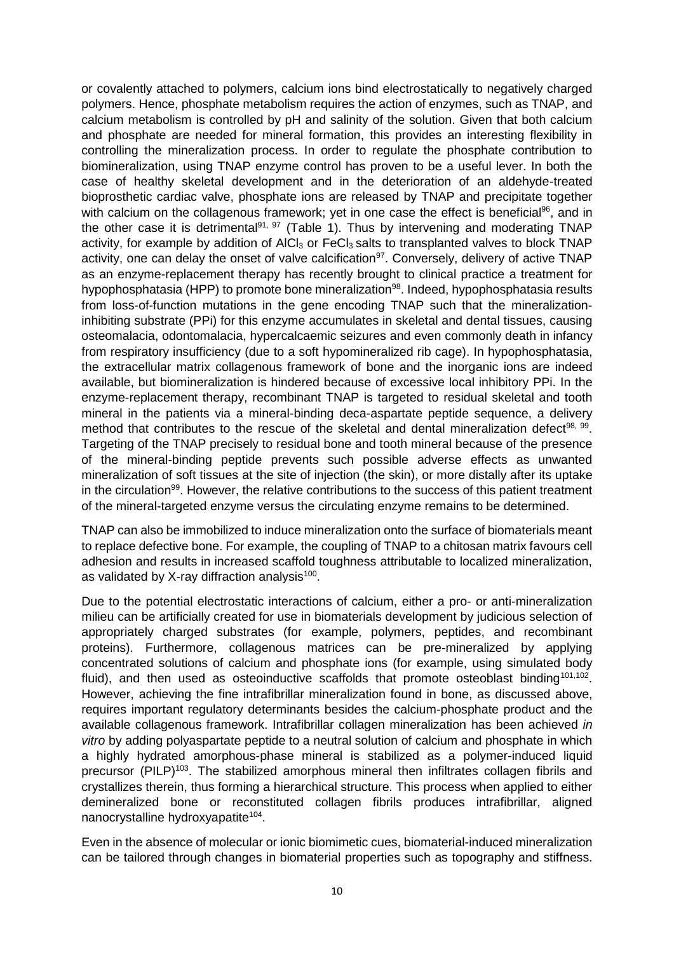or covalently attached to polymers, calcium ions bind electrostatically to negatively charged polymers. Hence, phosphate metabolism requires the action of enzymes, such as TNAP, and calcium metabolism is controlled by pH and salinity of the solution. Given that both calcium and phosphate are needed for mineral formation, this provides an interesting flexibility in controlling the mineralization process. In order to regulate the phosphate contribution to biomineralization, using TNAP enzyme control has proven to be a useful lever. In both the case of healthy skeletal development and in the deterioration of an aldehyde-treated bioprosthetic cardiac valve, phosphate ions are released by TNAP and precipitate together with calcium on the collagenous framework; yet in one case the effect is beneficial<sup>[96](#page-18-6)</sup>, and in the other case it is detrimental<sup>[91,](#page-18-1) [97](#page-18-7)</sup> (Table 1). Thus by intervening and moderating TNAP activity, for example by addition of AICI $_3$  or FeCI $_3$  salts to transplanted valves to block TNAP activity, one can delay the onset of valve calcification $97$ . Conversely, delivery of active TNAP as an enzyme-replacement therapy has recently brought to clinical practice a treatment for hypophosphatasia (HPP) to promote bone mineralization<sup>[98](#page-18-8)</sup>. Indeed, hypophosphatasia results from loss-of-function mutations in the gene encoding TNAP such that the mineralizationinhibiting substrate (PPi) for this enzyme accumulates in skeletal and dental tissues, causing osteomalacia, odontomalacia, hypercalcaemic seizures and even commonly death in infancy from respiratory insufficiency (due to a soft hypomineralized rib cage). In hypophosphatasia, the extracellular matrix collagenous framework of bone and the inorganic ions are indeed available, but biomineralization is hindered because of excessive local inhibitory PPi. In the enzyme-replacement therapy, recombinant TNAP is targeted to residual skeletal and tooth mineral in the patients via a mineral-binding deca-aspartate peptide sequence, a delivery method that contributes to the rescue of the skeletal and dental mineralization defect<sup>[98,](#page-18-8) [99](#page-18-9)</sup>. Targeting of the TNAP precisely to residual bone and tooth mineral because of the presence of the mineral-binding peptide prevents such possible adverse effects as unwanted mineralization of soft tissues at the site of injection (the skin), or more distally after its uptake in the circulation<sup>[99](#page-18-9)</sup>. However, the relative contributions to the success of this patient treatment of the mineral-targeted enzyme versus the circulating enzyme remains to be determined.

TNAP can also be immobilized to induce mineralization onto the surface of biomaterials meant to replace defective bone. For example, the coupling of TNAP to a chitosan matrix favours cell adhesion and results in increased scaffold toughness attributable to localized mineralization, as validated by X-ray diffraction analysis<sup>[100](#page-18-10)</sup>.

Due to the potential electrostatic interactions of calcium, either a pro- or anti-mineralization milieu can be artificially created for use in biomaterials development by judicious selection of appropriately charged substrates (for example, polymers, peptides, and recombinant proteins). Furthermore, collagenous matrices can be pre-mineralized by applying concentrated solutions of calcium and phosphate ions (for example, using simulated body fluid), and then used as osteoinductive scaffolds that promote osteoblast binding<sup>[101,](#page-18-11)[102](#page-18-12)</sup>. However, achieving the fine intrafibrillar mineralization found in bone, as discussed above, requires important regulatory determinants besides the calcium-phosphate product and the available collagenous framework. Intrafibrillar collagen mineralization has been achieved *in vitro* by adding polyaspartate peptide to a neutral solution of calcium and phosphate in which a highly hydrated amorphous-phase mineral is stabilized as a polymer-induced liquid precursor (PILP)[103](#page-19-0). The stabilized amorphous mineral then infiltrates collagen fibrils and crystallizes therein, thus forming a hierarchical structure. This process when applied to either demineralized bone or reconstituted collagen fibrils produces intrafibrillar, aligned nanocrystalline hydroxyapatite<sup>[104](#page-19-1)</sup>.

Even in the absence of molecular or ionic biomimetic cues, biomaterial-induced mineralization can be tailored through changes in biomaterial properties such as topography and stiffness.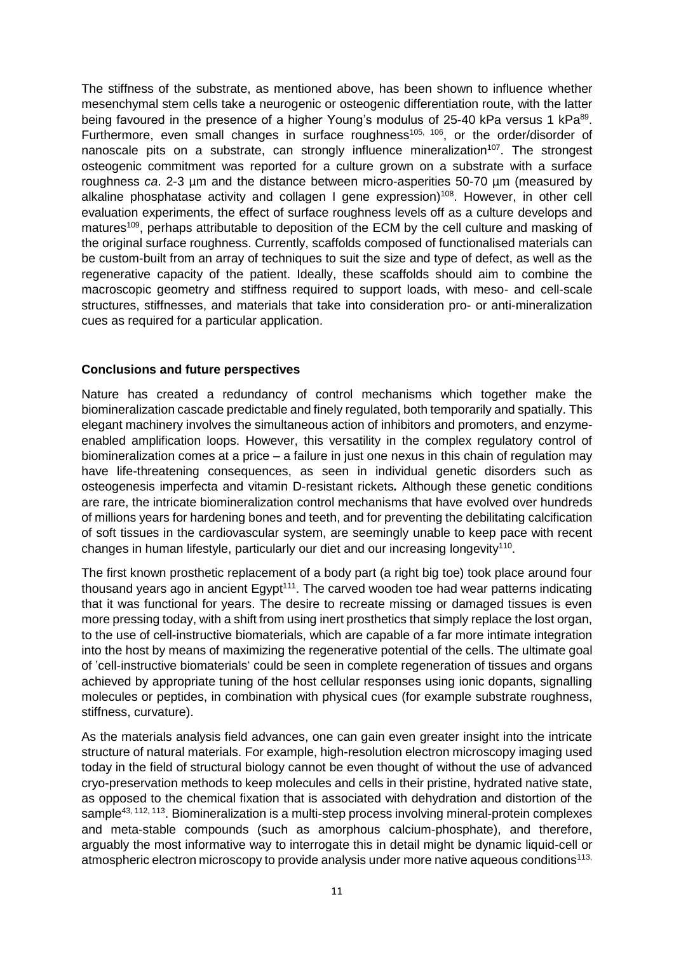The stiffness of the substrate, as mentioned above, has been shown to influence whether mesenchymal stem cells take a neurogenic or osteogenic differentiation route, with the latter being favoured in the presence of a higher Young's modulus of 25-40 kPa versus 1 kPa<sup>[89](#page-17-11)</sup>. Furthermore, even small changes in surface roughness<sup>[105,](#page-19-2) [106](#page-19-3)</sup>, or the order/disorder of nanoscale pits on a substrate, can strongly influence mineralization<sup>[107](#page-19-4)</sup>. The strongest osteogenic commitment was reported for a culture grown on a substrate with a surface roughness *ca*. 2-3 µm and the distance between micro-asperities 50-70 µm (measured by alkaline phosphatase activity and collagen I gene expression)<sup>[108](#page-19-5)</sup>. However, in other cell evaluation experiments, the effect of surface roughness levels off as a culture develops and matures<sup>[109](#page-19-6)</sup>, perhaps attributable to deposition of the ECM by the cell culture and masking of the original surface roughness. Currently, scaffolds composed of functionalised materials can be custom-built from an array of techniques to suit the size and type of defect, as well as the regenerative capacity of the patient. Ideally, these scaffolds should aim to combine the macroscopic geometry and stiffness required to support loads, with meso- and cell-scale structures, stiffnesses, and materials that take into consideration pro- or anti-mineralization cues as required for a particular application.

## **Conclusions and future perspectives**

Nature has created a redundancy of control mechanisms which together make the biomineralization cascade predictable and finely regulated, both temporarily and spatially. This elegant machinery involves the simultaneous action of inhibitors and promoters, and enzymeenabled amplification loops. However, this versatility in the complex regulatory control of biomineralization comes at a price – a failure in just one nexus in this chain of regulation may have life-threatening consequences, as seen in individual genetic disorders such as osteogenesis imperfecta and vitamin D-resistant rickets*.* Although these genetic conditions are rare, the intricate biomineralization control mechanisms that have evolved over hundreds of millions years for hardening bones and teeth, and for preventing the debilitating calcification of soft tissues in the cardiovascular system, are seemingly unable to keep pace with recent changes in human lifestyle, particularly our diet and our increasing longevity<sup>[110](#page-19-7)</sup>.

The first known prosthetic replacement of a body part (a right big toe) took place around four thousand years ago in ancient  $Egypt<sup>111</sup>$  $Egypt<sup>111</sup>$  $Egypt<sup>111</sup>$ . The carved wooden toe had wear patterns indicating that it was functional for years. The desire to recreate missing or damaged tissues is even more pressing today, with a shift from using inert prosthetics that simply replace the lost organ, to the use of cell-instructive biomaterials, which are capable of a far more intimate integration into the host by means of maximizing the regenerative potential of the cells. The ultimate goal of 'cell-instructive biomaterials' could be seen in complete regeneration of tissues and organs achieved by appropriate tuning of the host cellular responses using ionic dopants, signalling molecules or peptides, in combination with physical cues (for example substrate roughness, stiffness, curvature).

As the materials analysis field advances, one can gain even greater insight into the intricate structure of natural materials. For example, high-resolution electron microscopy imaging used today in the field of structural biology cannot be even thought of without the use of advanced cryo-preservation methods to keep molecules and cells in their pristine, hydrated native state, as opposed to the chemical fixation that is associated with dehydration and distortion of the sample<sup>[43,](#page-14-9) [112,](#page-19-9) [113](#page-19-10)</sup>. Biomineralization is a multi-step process involving mineral-protein complexes and meta-stable compounds (such as amorphous calcium-phosphate), and therefore, arguably the most informative way to interrogate this in detail might be dynamic liquid-cell or atmospheric electron microscopy to provide analysis under more native aqueous conditions<sup>113,</sup>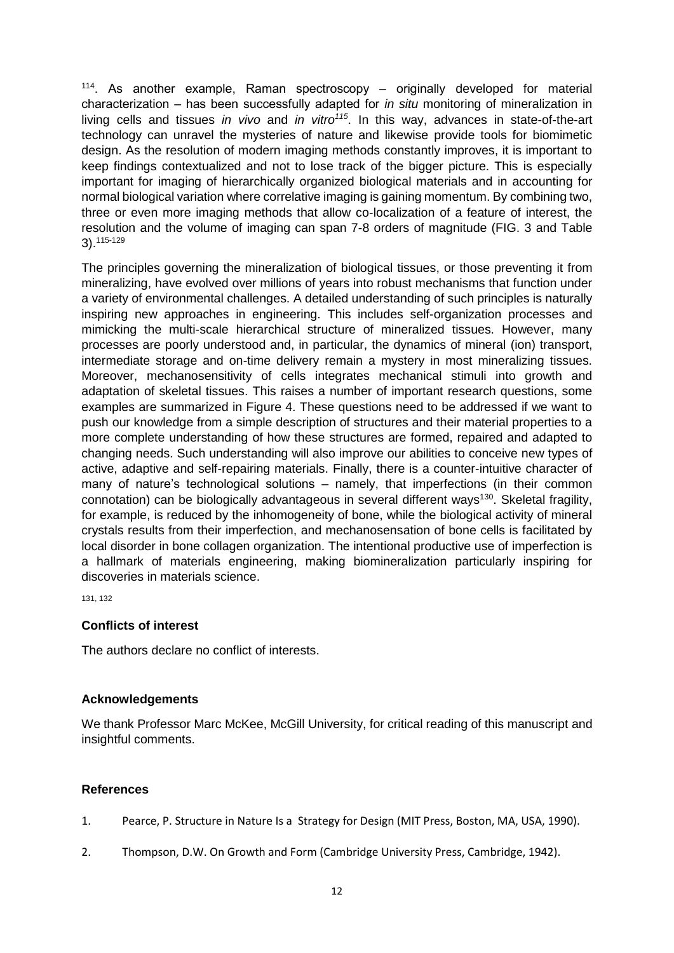[114](#page-19-11). As another example, Raman spectroscopy - originally developed for material characterization ‒ has been successfully adapted for *in situ* monitoring of mineralization in living cells and tissues *in vivo* and *in vitro[115](#page-19-12)*. In this way, advances in state-of-the-art technology can unravel the mysteries of nature and likewise provide tools for biomimetic design. As the resolution of modern imaging methods constantly improves, it is important to keep findings contextualized and not to lose track of the bigger picture. This is especially important for imaging of hierarchically organized biological materials and in accounting for normal biological variation where correlative imaging is gaining momentum. By combining two, three or even more imaging methods that allow co-localization of a feature of interest, the resolution and the volume of imaging can span 7-8 orders of magnitude (FIG. 3 and Table 3).[115-129](#page-19-12)

The principles governing the mineralization of biological tissues, or those preventing it from mineralizing, have evolved over millions of years into robust mechanisms that function under a variety of environmental challenges. A detailed understanding of such principles is naturally inspiring new approaches in engineering. This includes self-organization processes and mimicking the multi-scale hierarchical structure of mineralized tissues. However, many processes are poorly understood and, in particular, the dynamics of mineral (ion) transport, intermediate storage and on-time delivery remain a mystery in most mineralizing tissues. Moreover, mechanosensitivity of cells integrates mechanical stimuli into growth and adaptation of skeletal tissues. This raises a number of important research questions, some examples are summarized in Figure 4. These questions need to be addressed if we want to push our knowledge from a simple description of structures and their material properties to a more complete understanding of how these structures are formed, repaired and adapted to changing needs. Such understanding will also improve our abilities to conceive new types of active, adaptive and self-repairing materials. Finally, there is a counter-intuitive character of many of nature's technological solutions – namely, that imperfections (in their common connotation) can be biologically advantageous in several different ways<sup>[130](#page-20-0)</sup>. Skeletal fragility, for example, is reduced by the inhomogeneity of bone, while the biological activity of mineral crystals results from their imperfection, and mechanosensation of bone cells is facilitated by local disorder in bone collagen organization. The intentional productive use of imperfection is a hallmark of materials engineering, making biomineralization particularly inspiring for discoveries in materials science.

[131,](#page-20-1) [132](#page-21-0)

## **Conflicts of interest**

The authors declare no conflict of interests.

## **Acknowledgements**

We thank Professor Marc McKee, McGill University, for critical reading of this manuscript and insightful comments.

## **References**

- <span id="page-11-0"></span>1. Pearce, P. Structure in Nature Is a Strategy for Design (MIT Press, Boston, MA, USA, 1990).
- <span id="page-11-1"></span>2. Thompson, D.W. On Growth and Form (Cambridge University Press, Cambridge, 1942).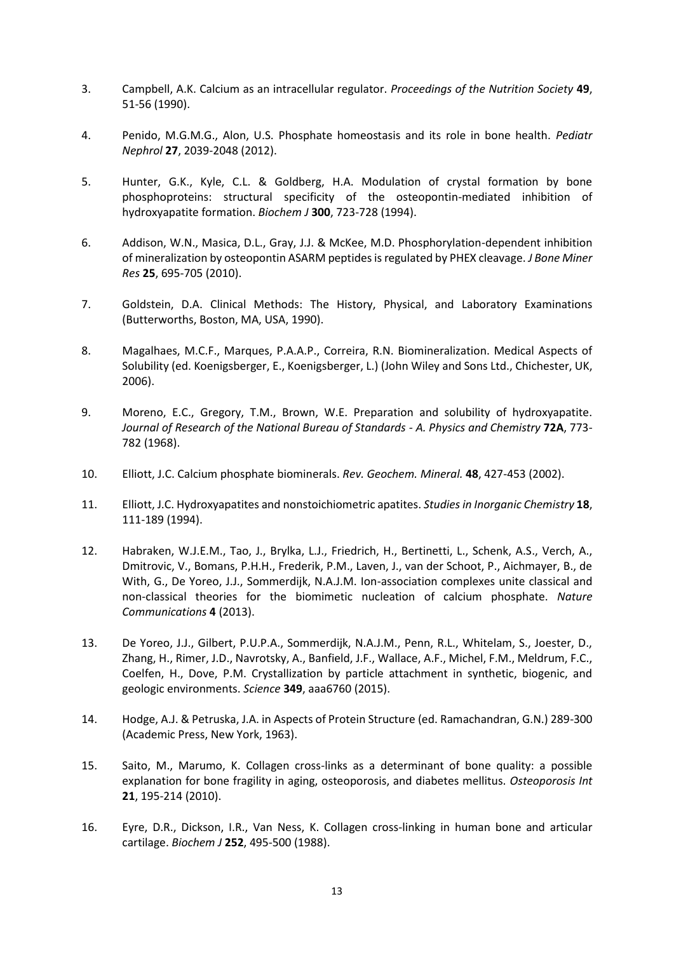- <span id="page-12-0"></span>3. Campbell, A.K. Calcium as an intracellular regulator. *Proceedings of the Nutrition Society* **49**, 51-56 (1990).
- <span id="page-12-1"></span>4. Penido, M.G.M.G., Alon, U.S. Phosphate homeostasis and its role in bone health. *Pediatr Nephrol* **27**, 2039-2048 (2012).
- <span id="page-12-2"></span>5. Hunter, G.K., Kyle, C.L. & Goldberg, H.A. Modulation of crystal formation by bone phosphoproteins: structural specificity of the osteopontin-mediated inhibition of hydroxyapatite formation. *Biochem J* **300**, 723-728 (1994).
- <span id="page-12-3"></span>6. Addison, W.N., Masica, D.L., Gray, J.J. & McKee, M.D. Phosphorylation-dependent inhibition of mineralization by osteopontin ASARM peptides is regulated by PHEX cleavage. *J Bone Miner Res* **25**, 695-705 (2010).
- <span id="page-12-4"></span>7. Goldstein, D.A. Clinical Methods: The History, Physical, and Laboratory Examinations (Butterworths, Boston, MA, USA, 1990).
- <span id="page-12-5"></span>8. Magalhaes, M.C.F., Marques, P.A.A.P., Correira, R.N. Biomineralization. Medical Aspects of Solubility (ed. Koenigsberger, E., Koenigsberger, L.) (John Wiley and Sons Ltd., Chichester, UK, 2006).
- <span id="page-12-6"></span>9. Moreno, E.C., Gregory, T.M., Brown, W.E. Preparation and solubility of hydroxyapatite. *Journal of Research of the National Bureau of Standards - A. Physics and Chemistry* **72A**, 773- 782 (1968).
- 10. Elliott, J.C. Calcium phosphate biominerals. *Rev. Geochem. Mineral.* **48**, 427-453 (2002).
- 11. Elliott, J.C. Hydroxyapatites and nonstoichiometric apatites. *Studies in Inorganic Chemistry* **18**, 111-189 (1994).
- <span id="page-12-7"></span>12. Habraken, W.J.E.M., Tao, J., Brylka, L.J., Friedrich, H., Bertinetti, L., Schenk, A.S., Verch, A., Dmitrovic, V., Bomans, P.H.H., Frederik, P.M., Laven, J., van der Schoot, P., Aichmayer, B., de With, G., De Yoreo, J.J., Sommerdijk, N.A.J.M. Ion-association complexes unite classical and non-classical theories for the biomimetic nucleation of calcium phosphate. *Nature Communications* **4** (2013).
- <span id="page-12-8"></span>13. De Yoreo, J.J., Gilbert, P.U.P.A., Sommerdijk, N.A.J.M., Penn, R.L., Whitelam, S., Joester, D., Zhang, H., Rimer, J.D., Navrotsky, A., Banfield, J.F., Wallace, A.F., Michel, F.M., Meldrum, F.C., Coelfen, H., Dove, P.M. Crystallization by particle attachment in synthetic, biogenic, and geologic environments. *Science* **349**, aaa6760 (2015).
- <span id="page-12-9"></span>14. Hodge, A.J. & Petruska, J.A. in Aspects of Protein Structure (ed. Ramachandran, G.N.) 289-300 (Academic Press, New York, 1963).
- <span id="page-12-10"></span>15. Saito, M., Marumo, K. Collagen cross-links as a determinant of bone quality: a possible explanation for bone fragility in aging, osteoporosis, and diabetes mellitus. *Osteoporosis Int* **21**, 195-214 (2010).
- <span id="page-12-11"></span>16. Eyre, D.R., Dickson, I.R., Van Ness, K. Collagen cross-linking in human bone and articular cartilage. *Biochem J* **252**, 495-500 (1988).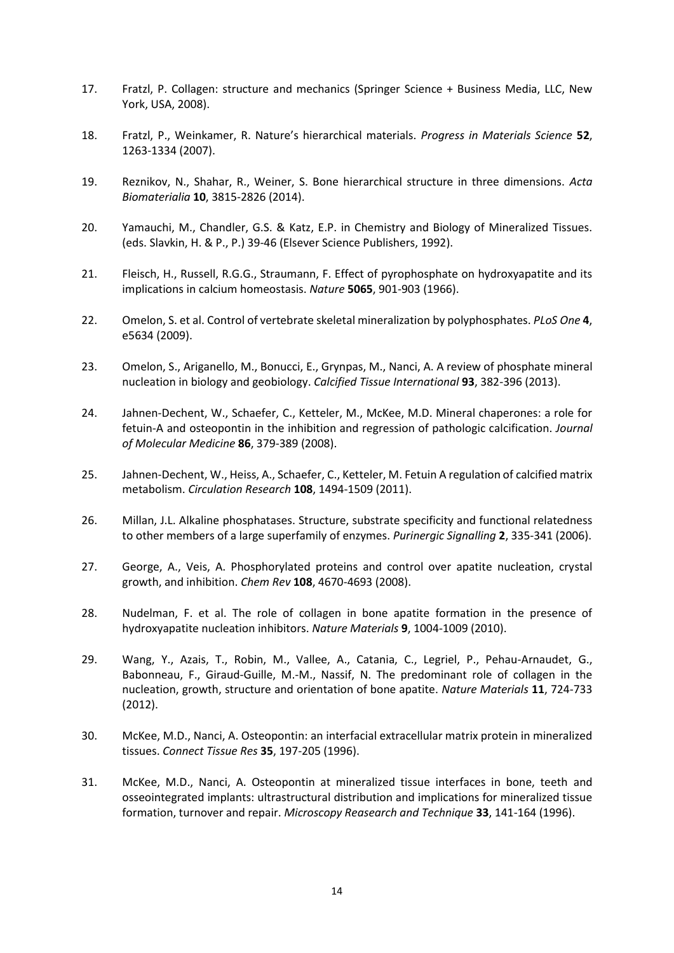- <span id="page-13-0"></span>17. Fratzl, P. Collagen: structure and mechanics (Springer Science + Business Media, LLC, New York, USA, 2008).
- <span id="page-13-1"></span>18. Fratzl, P., Weinkamer, R. Nature's hierarchical materials. *Progress in Materials Science* **52**, 1263-1334 (2007).
- <span id="page-13-2"></span>19. Reznikov, N., Shahar, R., Weiner, S. Bone hierarchical structure in three dimensions. *Acta Biomaterialia* **10**, 3815-2826 (2014).
- <span id="page-13-3"></span>20. Yamauchi, M., Chandler, G.S. & Katz, E.P. in Chemistry and Biology of Mineralized Tissues. (eds. Slavkin, H. & P., P.) 39-46 (Elsever Science Publishers, 1992).
- <span id="page-13-4"></span>21. Fleisch, H., Russell, R.G.G., Straumann, F. Effect of pyrophosphate on hydroxyapatite and its implications in calcium homeostasis. *Nature* **5065**, 901-903 (1966).
- <span id="page-13-5"></span>22. Omelon, S. et al. Control of vertebrate skeletal mineralization by polyphosphates. *PLoS One* **4**, e5634 (2009).
- <span id="page-13-6"></span>23. Omelon, S., Ariganello, M., Bonucci, E., Grynpas, M., Nanci, A. A review of phosphate mineral nucleation in biology and geobiology. *Calcified Tissue International* **93**, 382-396 (2013).
- <span id="page-13-7"></span>24. Jahnen-Dechent, W., Schaefer, C., Ketteler, M., McKee, M.D. Mineral chaperones: a role for fetuin-A and osteopontin in the inhibition and regression of pathologic calcification. *Journal of Molecular Medicine* **86**, 379-389 (2008).
- <span id="page-13-8"></span>25. Jahnen-Dechent, W., Heiss, A., Schaefer, C., Ketteler, M. Fetuin A regulation of calcified matrix metabolism. *Circulation Research* **108**, 1494-1509 (2011).
- <span id="page-13-9"></span>26. Millan, J.L. Alkaline phosphatases. Structure, substrate specificity and functional relatedness to other members of a large superfamily of enzymes. *Purinergic Signalling* **2**, 335-341 (2006).
- <span id="page-13-10"></span>27. George, A., Veis, A. Phosphorylated proteins and control over apatite nucleation, crystal growth, and inhibition. *Chem Rev* **108**, 4670-4693 (2008).
- <span id="page-13-11"></span>28. Nudelman, F. et al. The role of collagen in bone apatite formation in the presence of hydroxyapatite nucleation inhibitors. *Nature Materials* **9**, 1004-1009 (2010).
- <span id="page-13-12"></span>29. Wang, Y., Azais, T., Robin, M., Vallee, A., Catania, C., Legriel, P., Pehau-Arnaudet, G., Babonneau, F., Giraud-Guille, M.-M., Nassif, N. The predominant role of collagen in the nucleation, growth, structure and orientation of bone apatite. *Nature Materials* **11**, 724-733 (2012).
- <span id="page-13-13"></span>30. McKee, M.D., Nanci, A. Osteopontin: an interfacial extracellular matrix protein in mineralized tissues. *Connect Tissue Res* **35**, 197-205 (1996).
- <span id="page-13-14"></span>31. McKee, M.D., Nanci, A. Osteopontin at mineralized tissue interfaces in bone, teeth and osseointegrated implants: ultrastructural distribution and implications for mineralized tissue formation, turnover and repair. *Microscopy Reasearch and Technique* **33**, 141-164 (1996).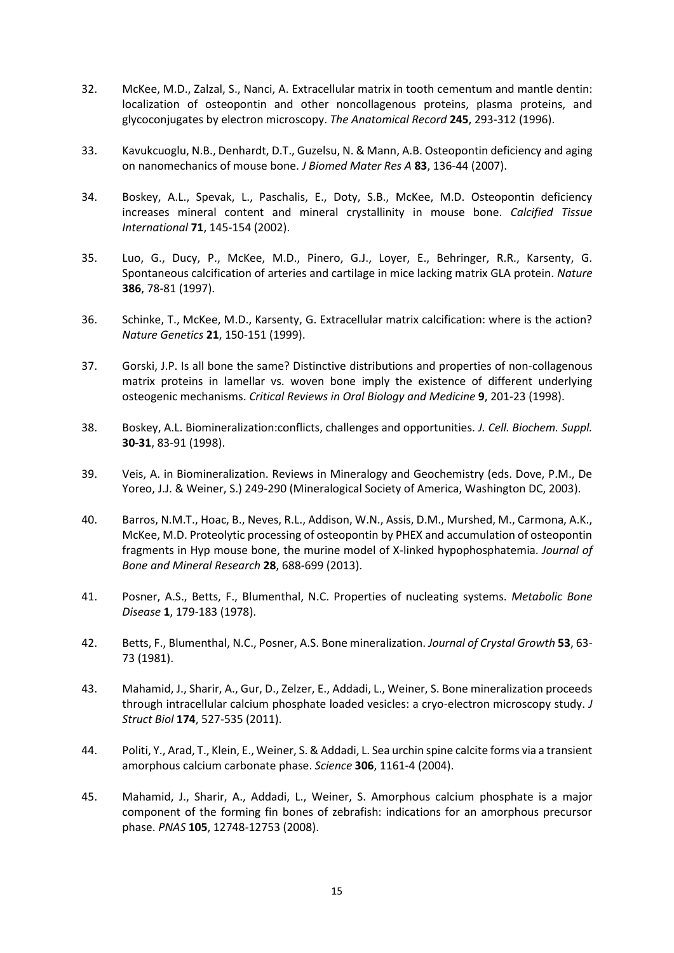- <span id="page-14-0"></span>32. McKee, M.D., Zalzal, S., Nanci, A. Extracellular matrix in tooth cementum and mantle dentin: localization of osteopontin and other noncollagenous proteins, plasma proteins, and glycoconjugates by electron microscopy. *The Anatomical Record* **245**, 293-312 (1996).
- <span id="page-14-1"></span>33. Kavukcuoglu, N.B., Denhardt, D.T., Guzelsu, N. & Mann, A.B. Osteopontin deficiency and aging on nanomechanics of mouse bone. *J Biomed Mater Res A* **83**, 136-44 (2007).
- <span id="page-14-2"></span>34. Boskey, A.L., Spevak, L., Paschalis, E., Doty, S.B., McKee, M.D. Osteopontin deficiency increases mineral content and mineral crystallinity in mouse bone. *Calcified Tissue International* **71**, 145-154 (2002).
- <span id="page-14-3"></span>35. Luo, G., Ducy, P., McKee, M.D., Pinero, G.J., Loyer, E., Behringer, R.R., Karsenty, G. Spontaneous calcification of arteries and cartilage in mice lacking matrix GLA protein. *Nature* **386**, 78-81 (1997).
- <span id="page-14-4"></span>36. Schinke, T., McKee, M.D., Karsenty, G. Extracellular matrix calcification: where is the action? *Nature Genetics* **21**, 150-151 (1999).
- <span id="page-14-5"></span>37. Gorski, J.P. Is all bone the same? Distinctive distributions and properties of non-collagenous matrix proteins in lamellar vs. woven bone imply the existence of different underlying osteogenic mechanisms. *Critical Reviews in Oral Biology and Medicine* **9**, 201-23 (1998).
- 38. Boskey, A.L. Biomineralization:conflicts, challenges and opportunities. *J. Cell. Biochem. Suppl.* **30-31**, 83-91 (1998).
- 39. Veis, A. in Biomineralization. Reviews in Mineralogy and Geochemistry (eds. Dove, P.M., De Yoreo, J.J. & Weiner, S.) 249-290 (Mineralogical Society of America, Washington DC, 2003).
- <span id="page-14-6"></span>40. Barros, N.M.T., Hoac, B., Neves, R.L., Addison, W.N., Assis, D.M., Murshed, M., Carmona, A.K., McKee, M.D. Proteolytic processing of osteopontin by PHEX and accumulation of osteopontin fragments in Hyp mouse bone, the murine model of X-linked hypophosphatemia. *Journal of Bone and Mineral Research* **28**, 688-699 (2013).
- <span id="page-14-7"></span>41. Posner, A.S., Betts, F., Blumenthal, N.C. Properties of nucleating systems. *Metabolic Bone Disease* **1**, 179-183 (1978).
- <span id="page-14-8"></span>42. Betts, F., Blumenthal, N.C., Posner, A.S. Bone mineralization. *Journal of Crystal Growth* **53**, 63- 73 (1981).
- <span id="page-14-9"></span>43. Mahamid, J., Sharir, A., Gur, D., Zelzer, E., Addadi, L., Weiner, S. Bone mineralization proceeds through intracellular calcium phosphate loaded vesicles: a cryo-electron microscopy study. *J Struct Biol* **174**, 527-535 (2011).
- <span id="page-14-10"></span>44. Politi, Y., Arad, T., Klein, E., Weiner, S. & Addadi, L. Sea urchin spine calcite forms via a transient amorphous calcium carbonate phase. *Science* **306**, 1161-4 (2004).
- <span id="page-14-11"></span>45. Mahamid, J., Sharir, A., Addadi, L., Weiner, S. Amorphous calcium phosphate is a major component of the forming fin bones of zebrafish: indications for an amorphous precursor phase. *PNAS* **105**, 12748-12753 (2008).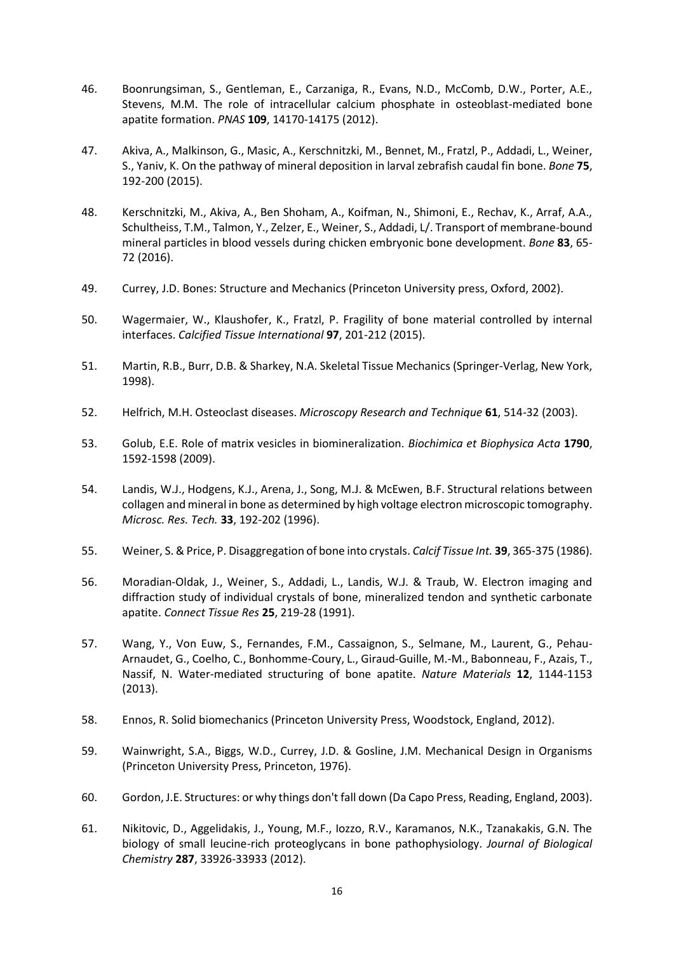- <span id="page-15-0"></span>46. Boonrungsiman, S., Gentleman, E., Carzaniga, R., Evans, N.D., McComb, D.W., Porter, A.E., Stevens, M.M. The role of intracellular calcium phosphate in osteoblast-mediated bone apatite formation. *PNAS* **109**, 14170-14175 (2012).
- <span id="page-15-1"></span>47. Akiva, A., Malkinson, G., Masic, A., Kerschnitzki, M., Bennet, M., Fratzl, P., Addadi, L., Weiner, S., Yaniv, K. On the pathway of mineral deposition in larval zebrafish caudal fin bone. *Bone* **75**, 192-200 (2015).
- <span id="page-15-2"></span>48. Kerschnitzki, M., Akiva, A., Ben Shoham, A., Koifman, N., Shimoni, E., Rechav, K., Arraf, A.A., Schultheiss, T.M., Talmon, Y., Zelzer, E., Weiner, S., Addadi, L/. Transport of membrane-bound mineral particles in blood vessels during chicken embryonic bone development. *Bone* **83**, 65- 72 (2016).
- <span id="page-15-3"></span>49. Currey, J.D. Bones: Structure and Mechanics (Princeton University press, Oxford, 2002).
- <span id="page-15-4"></span>50. Wagermaier, W., Klaushofer, K., Fratzl, P. Fragility of bone material controlled by internal interfaces. *Calcified Tissue International* **97**, 201-212 (2015).
- 51. Martin, R.B., Burr, D.B. & Sharkey, N.A. Skeletal Tissue Mechanics (Springer-Verlag, New York, 1998).
- 52. Helfrich, M.H. Osteoclast diseases. *Microscopy Research and Technique* **61**, 514-32 (2003).
- <span id="page-15-5"></span>53. Golub, E.E. Role of matrix vesicles in biomineralization. *Biochimica et Biophysica Acta* **1790**, 1592-1598 (2009).
- <span id="page-15-6"></span>54. Landis, W.J., Hodgens, K.J., Arena, J., Song, M.J. & McEwen, B.F. Structural relations between collagen and mineral in bone as determined by high voltage electron microscopic tomography. *Microsc. Res. Tech.* **33**, 192-202 (1996).
- <span id="page-15-7"></span>55. Weiner, S. & Price, P. Disaggregation of bone into crystals. *Calcif Tissue Int.* **39**, 365-375 (1986).
- <span id="page-15-8"></span>56. Moradian-Oldak, J., Weiner, S., Addadi, L., Landis, W.J. & Traub, W. Electron imaging and diffraction study of individual crystals of bone, mineralized tendon and synthetic carbonate apatite. *Connect Tissue Res* **25**, 219-28 (1991).
- <span id="page-15-9"></span>57. Wang, Y., Von Euw, S., Fernandes, F.M., Cassaignon, S., Selmane, M., Laurent, G., Pehau-Arnaudet, G., Coelho, C., Bonhomme-Coury, L., Giraud-Guille, M.-M., Babonneau, F., Azais, T., Nassif, N. Water-mediated structuring of bone apatite. *Nature Materials* **12**, 1144-1153 (2013).
- <span id="page-15-10"></span>58. Ennos, R. Solid biomechanics (Princeton University Press, Woodstock, England, 2012).
- <span id="page-15-11"></span>59. Wainwright, S.A., Biggs, W.D., Currey, J.D. & Gosline, J.M. Mechanical Design in Organisms (Princeton University Press, Princeton, 1976).
- <span id="page-15-12"></span>60. Gordon, J.E. Structures: or why things don't fall down (Da Capo Press, Reading, England, 2003).
- <span id="page-15-13"></span>61. Nikitovic, D., Aggelidakis, J., Young, M.F., Iozzo, R.V., Karamanos, N.K., Tzanakakis, G.N. The biology of small leucine-rich proteoglycans in bone pathophysiology. *Journal of Biological Chemistry* **287**, 33926-33933 (2012).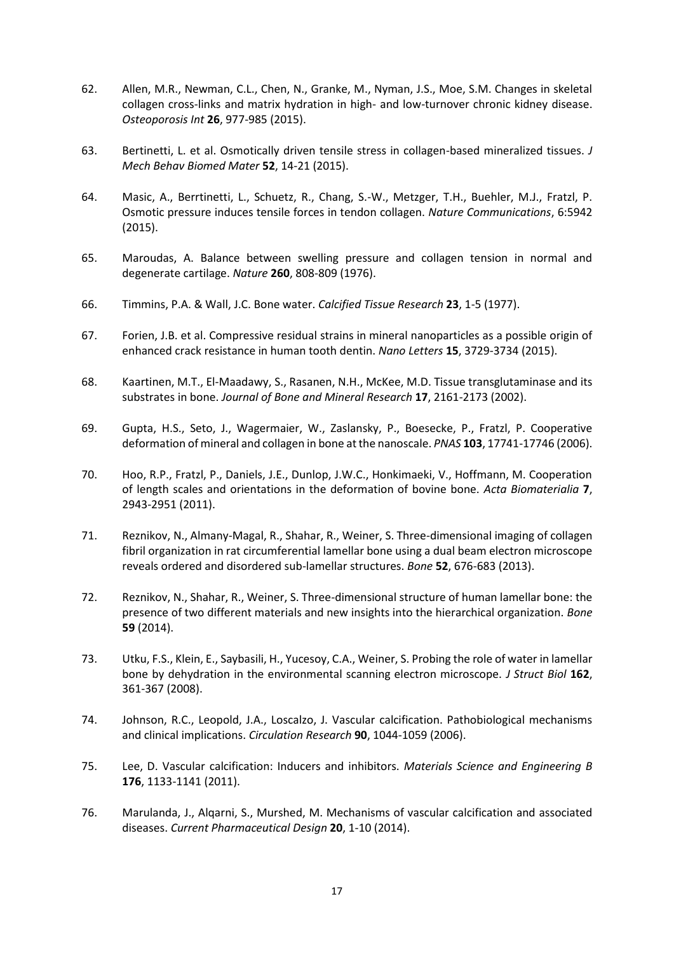- <span id="page-16-0"></span>62. Allen, M.R., Newman, C.L., Chen, N., Granke, M., Nyman, J.S., Moe, S.M. Changes in skeletal collagen cross-links and matrix hydration in high- and low-turnover chronic kidney disease. *Osteoporosis Int* **26**, 977-985 (2015).
- <span id="page-16-1"></span>63. Bertinetti, L. et al. Osmotically driven tensile stress in collagen-based mineralized tissues. *J Mech Behav Biomed Mater* **52**, 14-21 (2015).
- 64. Masic, A., Berrtinetti, L., Schuetz, R., Chang, S.-W., Metzger, T.H., Buehler, M.J., Fratzl, P. Osmotic pressure induces tensile forces in tendon collagen. *Nature Communications*, 6:5942 (2015).
- 65. Maroudas, A. Balance between swelling pressure and collagen tension in normal and degenerate cartilage. *Nature* **260**, 808-809 (1976).
- <span id="page-16-2"></span>66. Timmins, P.A. & Wall, J.C. Bone water. *Calcified Tissue Research* **23**, 1-5 (1977).
- <span id="page-16-3"></span>67. Forien, J.B. et al. Compressive residual strains in mineral nanoparticles as a possible origin of enhanced crack resistance in human tooth dentin. *Nano Letters* **15**, 3729-3734 (2015).
- <span id="page-16-4"></span>68. Kaartinen, M.T., El-Maadawy, S., Rasanen, N.H., McKee, M.D. Tissue transglutaminase and its substrates in bone. *Journal of Bone and Mineral Research* **17**, 2161-2173 (2002).
- <span id="page-16-5"></span>69. Gupta, H.S., Seto, J., Wagermaier, W., Zaslansky, P., Boesecke, P., Fratzl, P. Cooperative deformation of mineral and collagen in bone at the nanoscale. *PNAS* **103**, 17741-17746 (2006).
- <span id="page-16-6"></span>70. Hoo, R.P., Fratzl, P., Daniels, J.E., Dunlop, J.W.C., Honkimaeki, V., Hoffmann, M. Cooperation of length scales and orientations in the deformation of bovine bone. *Acta Biomaterialia* **7**, 2943-2951 (2011).
- <span id="page-16-7"></span>71. Reznikov, N., Almany-Magal, R., Shahar, R., Weiner, S. Three-dimensional imaging of collagen fibril organization in rat circumferential lamellar bone using a dual beam electron microscope reveals ordered and disordered sub-lamellar structures. *Bone* **52**, 676-683 (2013).
- <span id="page-16-8"></span>72. Reznikov, N., Shahar, R., Weiner, S. Three-dimensional structure of human lamellar bone: the presence of two different materials and new insights into the hierarchical organization. *Bone* **59** (2014).
- <span id="page-16-9"></span>73. Utku, F.S., Klein, E., Saybasili, H., Yucesoy, C.A., Weiner, S. Probing the role of water in lamellar bone by dehydration in the environmental scanning electron microscope. *J Struct Biol* **162**, 361-367 (2008).
- <span id="page-16-10"></span>74. Johnson, R.C., Leopold, J.A., Loscalzo, J. Vascular calcification. Pathobiological mechanisms and clinical implications. *Circulation Research* **90**, 1044-1059 (2006).
- <span id="page-16-11"></span>75. Lee, D. Vascular calcification: Inducers and inhibitors. *Materials Science and Engineering B* **176**, 1133-1141 (2011).
- 76. Marulanda, J., Alqarni, S., Murshed, M. Mechanisms of vascular calcification and associated diseases. *Current Pharmaceutical Design* **20**, 1-10 (2014).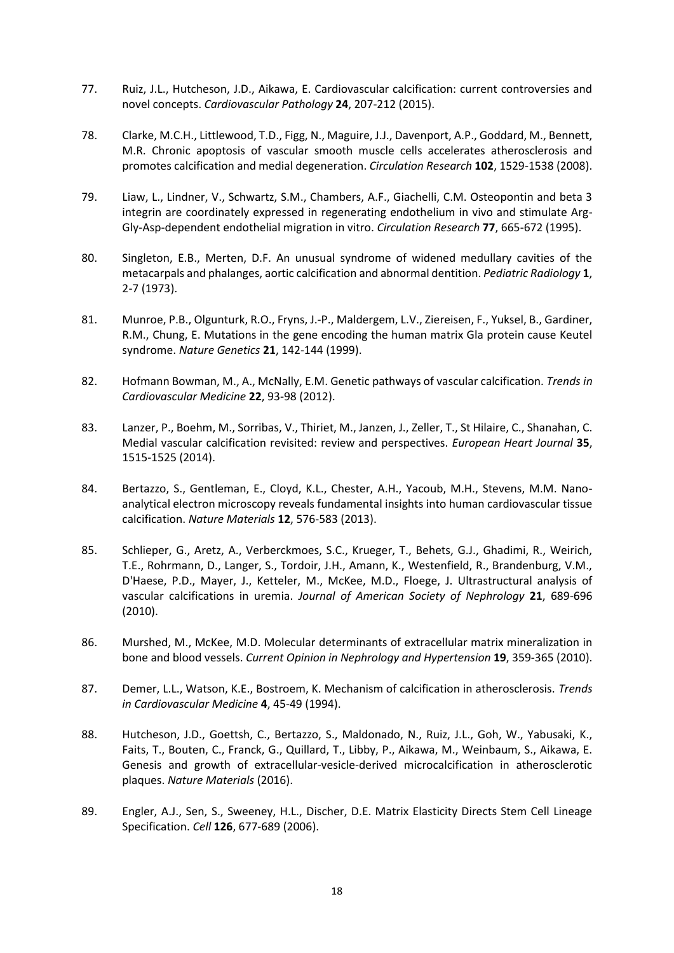- 77. Ruiz, J.L., Hutcheson, J.D., Aikawa, E. Cardiovascular calcification: current controversies and novel concepts. *Cardiovascular Pathology* **24**, 207-212 (2015).
- <span id="page-17-0"></span>78. Clarke, M.C.H., Littlewood, T.D., Figg, N., Maguire, J.J., Davenport, A.P., Goddard, M., Bennett, M.R. Chronic apoptosis of vascular smooth muscle cells accelerates atherosclerosis and promotes calcification and medial degeneration. *Circulation Research* **102**, 1529-1538 (2008).
- <span id="page-17-1"></span>79. Liaw, L., Lindner, V., Schwartz, S.M., Chambers, A.F., Giachelli, C.M. Osteopontin and beta 3 integrin are coordinately expressed in regenerating endothelium in vivo and stimulate Arg-Gly-Asp-dependent endothelial migration in vitro. *Circulation Research* **77**, 665-672 (1995).
- <span id="page-17-2"></span>80. Singleton, E.B., Merten, D.F. An unusual syndrome of widened medullary cavities of the metacarpals and phalanges, aortic calcification and abnormal dentition. *Pediatric Radiology* **1**, 2-7 (1973).
- <span id="page-17-3"></span>81. Munroe, P.B., Olgunturk, R.O., Fryns, J.-P., Maldergem, L.V., Ziereisen, F., Yuksel, B., Gardiner, R.M., Chung, E. Mutations in the gene encoding the human matrix Gla protein cause Keutel syndrome. *Nature Genetics* **21**, 142-144 (1999).
- <span id="page-17-4"></span>82. Hofmann Bowman, M., A., McNally, E.M. Genetic pathways of vascular calcification. *Trends in Cardiovascular Medicine* **22**, 93-98 (2012).
- <span id="page-17-5"></span>83. Lanzer, P., Boehm, M., Sorribas, V., Thiriet, M., Janzen, J., Zeller, T., St Hilaire, C., Shanahan, C. Medial vascular calcification revisited: review and perspectives. *European Heart Journal* **35**, 1515-1525 (2014).
- <span id="page-17-6"></span>84. Bertazzo, S., Gentleman, E., Cloyd, K.L., Chester, A.H., Yacoub, M.H., Stevens, M.M. Nanoanalytical electron microscopy reveals fundamental insights into human cardiovascular tissue calcification. *Nature Materials* **12**, 576-583 (2013).
- <span id="page-17-7"></span>85. Schlieper, G., Aretz, A., Verberckmoes, S.C., Krueger, T., Behets, G.J., Ghadimi, R., Weirich, T.E., Rohrmann, D., Langer, S., Tordoir, J.H., Amann, K., Westenfield, R., Brandenburg, V.M., D'Haese, P.D., Mayer, J., Ketteler, M., McKee, M.D., Floege, J. Ultrastructural analysis of vascular calcifications in uremia. *Journal of American Society of Nephrology* **21**, 689-696 (2010).
- <span id="page-17-8"></span>86. Murshed, M., McKee, M.D. Molecular determinants of extracellular matrix mineralization in bone and blood vessels. *Current Opinion in Nephrology and Hypertension* **19**, 359-365 (2010).
- <span id="page-17-9"></span>87. Demer, L.L., Watson, K.E., Bostroem, K. Mechanism of calcification in atherosclerosis. *Trends in Cardiovascular Medicine* **4**, 45-49 (1994).
- <span id="page-17-10"></span>88. Hutcheson, J.D., Goettsh, C., Bertazzo, S., Maldonado, N., Ruiz, J.L., Goh, W., Yabusaki, K., Faits, T., Bouten, C., Franck, G., Quillard, T., Libby, P., Aikawa, M., Weinbaum, S., Aikawa, E. Genesis and growth of extracellular-vesicle-derived microcalcification in atherosclerotic plaques. *Nature Materials* (2016).
- <span id="page-17-11"></span>89. Engler, A.J., Sen, S., Sweeney, H.L., Discher, D.E. Matrix Elasticity Directs Stem Cell Lineage Specification. *Cell* **126**, 677-689 (2006).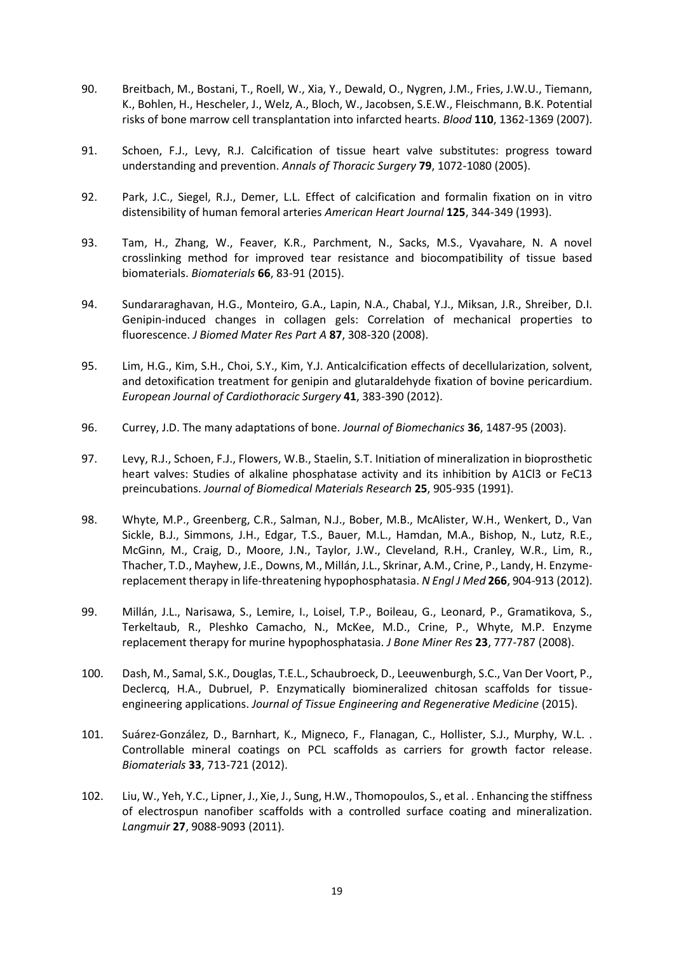- <span id="page-18-0"></span>90. Breitbach, M., Bostani, T., Roell, W., Xia, Y., Dewald, O., Nygren, J.M., Fries, J.W.U., Tiemann, K., Bohlen, H., Hescheler, J., Welz, A., Bloch, W., Jacobsen, S.E.W., Fleischmann, B.K. Potential risks of bone marrow cell transplantation into infarcted hearts. *Blood* **110**, 1362-1369 (2007).
- <span id="page-18-1"></span>91. Schoen, F.J., Levy, R.J. Calcification of tissue heart valve substitutes: progress toward understanding and prevention. *Annals of Thoracic Surgery* **79**, 1072-1080 (2005).
- <span id="page-18-2"></span>92. Park, J.C., Siegel, R.J., Demer, L.L. Effect of calcification and formalin fixation on in vitro distensibility of human femoral arteries *American Heart Journal* **125**, 344-349 (1993).
- <span id="page-18-3"></span>93. Tam, H., Zhang, W., Feaver, K.R., Parchment, N., Sacks, M.S., Vyavahare, N. A novel crosslinking method for improved tear resistance and biocompatibility of tissue based biomaterials. *Biomaterials* **66**, 83-91 (2015).
- <span id="page-18-4"></span>94. Sundararaghavan, H.G., Monteiro, G.A., Lapin, N.A., Chabal, Y.J., Miksan, J.R., Shreiber, D.I. Genipin-induced changes in collagen gels: Correlation of mechanical properties to fluorescence. *J Biomed Mater Res Part A* **87**, 308-320 (2008).
- <span id="page-18-5"></span>95. Lim, H.G., Kim, S.H., Choi, S.Y., Kim, Y.J. Anticalcification effects of decellularization, solvent, and detoxification treatment for genipin and glutaraldehyde fixation of bovine pericardium. *European Journal of Cardiothoracic Surgery* **41**, 383-390 (2012).
- <span id="page-18-6"></span>96. Currey, J.D. The many adaptations of bone. *Journal of Biomechanics* **36**, 1487-95 (2003).
- <span id="page-18-7"></span>97. Levy, R.J., Schoen, F.J., Flowers, W.B., Staelin, S.T. Initiation of mineralization in bioprosthetic heart valves: Studies of alkaline phosphatase activity and its inhibition by A1Cl3 or FeC13 preincubations. *Journal of Biomedical Materials Research* **25**, 905-935 (1991).
- <span id="page-18-8"></span>98. Whyte, M.P., Greenberg, C.R., Salman, N.J., Bober, M.B., McAlister, W.H., Wenkert, D., Van Sickle, B.J., Simmons, J.H., Edgar, T.S., Bauer, M.L., Hamdan, M.A., Bishop, N., Lutz, R.E., McGinn, M., Craig, D., Moore, J.N., Taylor, J.W., Cleveland, R.H., Cranley, W.R., Lim, R., Thacher, T.D., Mayhew, J.E., Downs, M., Millán, J.L., Skrinar, A.M., Crine, P., Landy, H. Enzymereplacement therapy in life-threatening hypophosphatasia. *N Engl J Med* **266**, 904-913 (2012).
- <span id="page-18-9"></span>99. Millán, J.L., Narisawa, S., Lemire, I., Loisel, T.P., Boileau, G., Leonard, P., Gramatikova, S., Terkeltaub, R., Pleshko Camacho, N., McKee, M.D., Crine, P., Whyte, M.P. Enzyme replacement therapy for murine hypophosphatasia. *J Bone Miner Res* **23**, 777-787 (2008).
- <span id="page-18-10"></span>100. Dash, M., Samal, S.K., Douglas, T.E.L., Schaubroeck, D., Leeuwenburgh, S.C., Van Der Voort, P., Declercq, H.A., Dubruel, P. Enzymatically biomineralized chitosan scaffolds for tissueengineering applications. *Journal of Tissue Engineering and Regenerative Medicine* (2015).
- <span id="page-18-11"></span>101. Suárez-González, D., Barnhart, K., Migneco, F., Flanagan, C., Hollister, S.J., Murphy, W.L. . Controllable mineral coatings on PCL scaffolds as carriers for growth factor release. *Biomaterials* **33**, 713-721 (2012).
- <span id="page-18-12"></span>102. Liu, W., Yeh, Y.C., Lipner, J., Xie, J., Sung, H.W., Thomopoulos, S., et al. . Enhancing the stiffness of electrospun nanofiber scaffolds with a controlled surface coating and mineralization. *Langmuir* **27**, 9088-9093 (2011).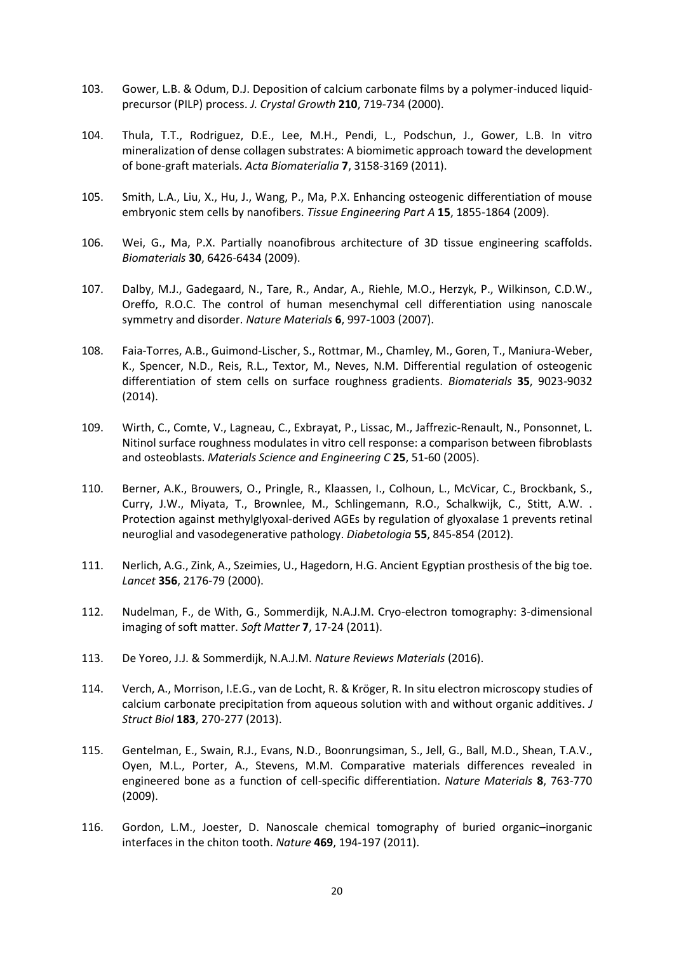- <span id="page-19-0"></span>103. Gower, L.B. & Odum, D.J. Deposition of calcium carbonate films by a polymer-induced liquidprecursor (PILP) process. *J. Crystal Growth* **210**, 719-734 (2000).
- <span id="page-19-1"></span>104. Thula, T.T., Rodriguez, D.E., Lee, M.H., Pendi, L., Podschun, J., Gower, L.B. In vitro mineralization of dense collagen substrates: A biomimetic approach toward the development of bone-graft materials. *Acta Biomaterialia* **7**, 3158-3169 (2011).
- <span id="page-19-2"></span>105. Smith, L.A., Liu, X., Hu, J., Wang, P., Ma, P.X. Enhancing osteogenic differentiation of mouse embryonic stem cells by nanofibers. *Tissue Engineering Part A* **15**, 1855-1864 (2009).
- <span id="page-19-3"></span>106. Wei, G., Ma, P.X. Partially noanofibrous architecture of 3D tissue engineering scaffolds. *Biomaterials* **30**, 6426-6434 (2009).
- <span id="page-19-4"></span>107. Dalby, M.J., Gadegaard, N., Tare, R., Andar, A., Riehle, M.O., Herzyk, P., Wilkinson, C.D.W., Oreffo, R.O.C. The control of human mesenchymal cell differentiation using nanoscale symmetry and disorder. *Nature Materials* **6**, 997-1003 (2007).
- <span id="page-19-5"></span>108. Faia-Torres, A.B., Guimond-Lischer, S., Rottmar, M., Chamley, M., Goren, T., Maniura-Weber, K., Spencer, N.D., Reis, R.L., Textor, M., Neves, N.M. Differential regulation of osteogenic differentiation of stem cells on surface roughness gradients. *Biomaterials* **35**, 9023-9032 (2014).
- <span id="page-19-6"></span>109. Wirth, C., Comte, V., Lagneau, C., Exbrayat, P., Lissac, M., Jaffrezic-Renault, N., Ponsonnet, L. Nitinol surface roughness modulates in vitro cell response: a comparison between fibroblasts and osteoblasts. *Materials Science and Engineering C* **25**, 51-60 (2005).
- <span id="page-19-7"></span>110. Berner, A.K., Brouwers, O., Pringle, R., Klaassen, I., Colhoun, L., McVicar, C., Brockbank, S., Curry, J.W., Miyata, T., Brownlee, M., Schlingemann, R.O., Schalkwijk, C., Stitt, A.W. . Protection against methylglyoxal-derived AGEs by regulation of glyoxalase 1 prevents retinal neuroglial and vasodegenerative pathology. *Diabetologia* **55**, 845-854 (2012).
- <span id="page-19-8"></span>111. Nerlich, A.G., Zink, A., Szeimies, U., Hagedorn, H.G. Ancient Egyptian prosthesis of the big toe. *Lancet* **356**, 2176-79 (2000).
- <span id="page-19-9"></span>112. Nudelman, F., de With, G., Sommerdijk, N.A.J.M. Cryo-electron tomography: 3-dimensional imaging of soft matter. *Soft Matter* **7**, 17-24 (2011).
- <span id="page-19-10"></span>113. De Yoreo, J.J. & Sommerdijk, N.A.J.M. *Nature Reviews Materials* (2016).
- <span id="page-19-11"></span>114. Verch, A., Morrison, I.E.G., van de Locht, R. & Kröger, R. In situ electron microscopy studies of calcium carbonate precipitation from aqueous solution with and without organic additives. *J Struct Biol* **183**, 270-277 (2013).
- <span id="page-19-12"></span>115. Gentelman, E., Swain, R.J., Evans, N.D., Boonrungsiman, S., Jell, G., Ball, M.D., Shean, T.A.V., Oyen, M.L., Porter, A., Stevens, M.M. Comparative materials differences revealed in engineered bone as a function of cell-specific differentiation. *Nature Materials* **8**, 763-770 (2009).
- 116. Gordon, L.M., Joester, D. Nanoscale chemical tomography of buried organic–inorganic interfaces in the chiton tooth. *Nature* **469**, 194-197 (2011).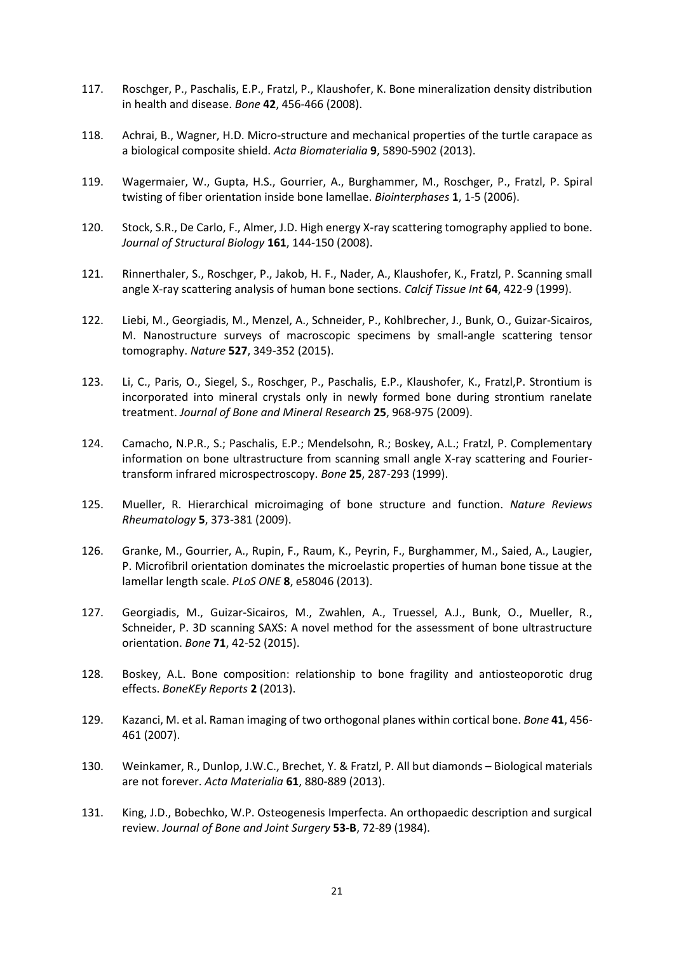- 117. Roschger, P., Paschalis, E.P., Fratzl, P., Klaushofer, K. Bone mineralization density distribution in health and disease. *Bone* **42**, 456-466 (2008).
- 118. Achrai, B., Wagner, H.D. Micro-structure and mechanical properties of the turtle carapace as a biological composite shield. *Acta Biomaterialia* **9**, 5890-5902 (2013).
- 119. Wagermaier, W., Gupta, H.S., Gourrier, A., Burghammer, M., Roschger, P., Fratzl, P. Spiral twisting of fiber orientation inside bone lamellae. *Biointerphases* **1**, 1-5 (2006).
- 120. Stock, S.R., De Carlo, F., Almer, J.D. High energy X-ray scattering tomography applied to bone. *Journal of Structural Biology* **161**, 144-150 (2008).
- 121. Rinnerthaler, S., Roschger, P., Jakob, H. F., Nader, A., Klaushofer, K., Fratzl, P. Scanning small angle X-ray scattering analysis of human bone sections. *Calcif Tissue Int* **64**, 422-9 (1999).
- 122. Liebi, M., Georgiadis, M., Menzel, A., Schneider, P., Kohlbrecher, J., Bunk, O., Guizar-Sicairos, M. Nanostructure surveys of macroscopic specimens by small-angle scattering tensor tomography. *Nature* **527**, 349-352 (2015).
- 123. Li, C., Paris, O., Siegel, S., Roschger, P., Paschalis, E.P., Klaushofer, K., Fratzl,P. Strontium is incorporated into mineral crystals only in newly formed bone during strontium ranelate treatment. *Journal of Bone and Mineral Research* **25**, 968-975 (2009).
- 124. Camacho, N.P.R., S.; Paschalis, E.P.; Mendelsohn, R.; Boskey, A.L.; Fratzl, P. Complementary information on bone ultrastructure from scanning small angle X-ray scattering and Fouriertransform infrared microspectroscopy. *Bone* **25**, 287-293 (1999).
- 125. Mueller, R. Hierarchical microimaging of bone structure and function. *Nature Reviews Rheumatology* **5**, 373-381 (2009).
- 126. Granke, M., Gourrier, A., Rupin, F., Raum, K., Peyrin, F., Burghammer, M., Saied, A., Laugier, P. Microfibril orientation dominates the microelastic properties of human bone tissue at the lamellar length scale. *PLoS ONE* **8**, e58046 (2013).
- 127. Georgiadis, M., Guizar-Sicairos, M., Zwahlen, A., Truessel, A.J., Bunk, O., Mueller, R., Schneider, P. 3D scanning SAXS: A novel method for the assessment of bone ultrastructure orientation. *Bone* **71**, 42-52 (2015).
- 128. Boskey, A.L. Bone composition: relationship to bone fragility and antiosteoporotic drug effects. *BoneKEy Reports* **2** (2013).
- 129. Kazanci, M. et al. Raman imaging of two orthogonal planes within cortical bone. *Bone* **41**, 456- 461 (2007).
- <span id="page-20-0"></span>130. Weinkamer, R., Dunlop, J.W.C., Brechet, Y. & Fratzl, P. All but diamonds – Biological materials are not forever. *Acta Materialia* **61**, 880-889 (2013).
- <span id="page-20-1"></span>131. King, J.D., Bobechko, W.P. Osteogenesis Imperfecta. An orthopaedic description and surgical review. *Journal of Bone and Joint Surgery* **53-B**, 72-89 (1984).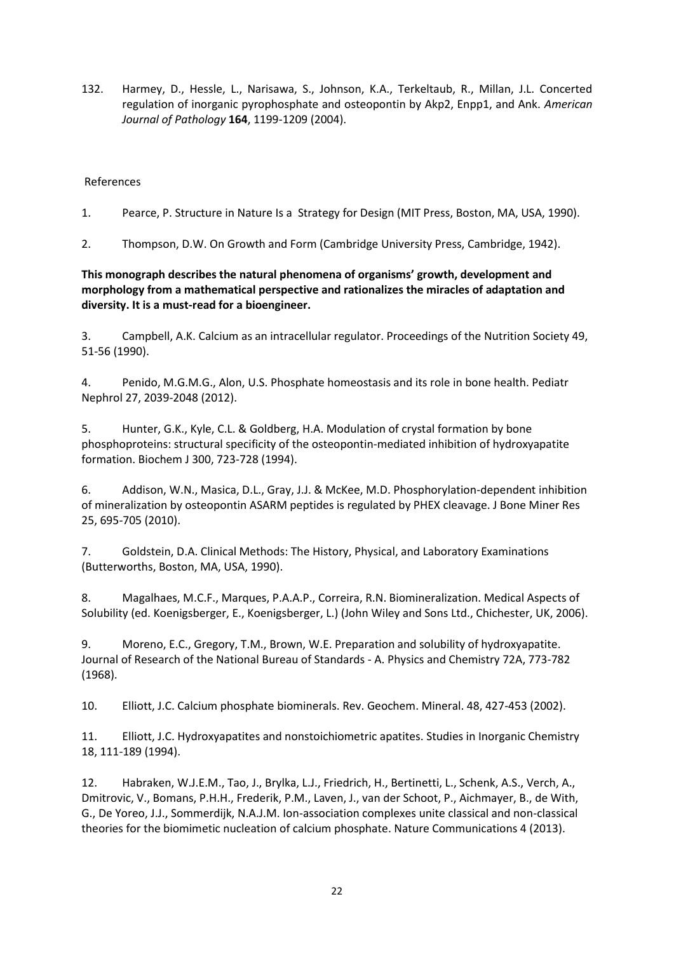<span id="page-21-0"></span>132. Harmey, D., Hessle, L., Narisawa, S., Johnson, K.A., Terkeltaub, R., Millan, J.L. Concerted regulation of inorganic pyrophosphate and osteopontin by Akp2, Enpp1, and Ank. *American Journal of Pathology* **164**, 1199-1209 (2004).

#### References

- 1. Pearce, P. Structure in Nature Is a Strategy for Design (MIT Press, Boston, MA, USA, 1990).
- 2. Thompson, D.W. On Growth and Form (Cambridge University Press, Cambridge, 1942).

#### **This monograph describes the natural phenomena of organisms' growth, development and morphology from a mathematical perspective and rationalizes the miracles of adaptation and diversity. It is a must-read for a bioengineer.**

3. Campbell, A.K. Calcium as an intracellular regulator. Proceedings of the Nutrition Society 49, 51-56 (1990).

4. Penido, M.G.M.G., Alon, U.S. Phosphate homeostasis and its role in bone health. Pediatr Nephrol 27, 2039-2048 (2012).

5. Hunter, G.K., Kyle, C.L. & Goldberg, H.A. Modulation of crystal formation by bone phosphoproteins: structural specificity of the osteopontin-mediated inhibition of hydroxyapatite formation. Biochem J 300, 723-728 (1994).

6. Addison, W.N., Masica, D.L., Gray, J.J. & McKee, M.D. Phosphorylation-dependent inhibition of mineralization by osteopontin ASARM peptides is regulated by PHEX cleavage. J Bone Miner Res 25, 695-705 (2010).

7. Goldstein, D.A. Clinical Methods: The History, Physical, and Laboratory Examinations (Butterworths, Boston, MA, USA, 1990).

8. Magalhaes, M.C.F., Marques, P.A.A.P., Correira, R.N. Biomineralization. Medical Aspects of Solubility (ed. Koenigsberger, E., Koenigsberger, L.) (John Wiley and Sons Ltd., Chichester, UK, 2006).

9. Moreno, E.C., Gregory, T.M., Brown, W.E. Preparation and solubility of hydroxyapatite. Journal of Research of the National Bureau of Standards - A. Physics and Chemistry 72A, 773-782 (1968).

10. Elliott, J.C. Calcium phosphate biominerals. Rev. Geochem. Mineral. 48, 427-453 (2002).

11. Elliott, J.C. Hydroxyapatites and nonstoichiometric apatites. Studies in Inorganic Chemistry 18, 111-189 (1994).

12. Habraken, W.J.E.M., Tao, J., Brylka, L.J., Friedrich, H., Bertinetti, L., Schenk, A.S., Verch, A., Dmitrovic, V., Bomans, P.H.H., Frederik, P.M., Laven, J., van der Schoot, P., Aichmayer, B., de With, G., De Yoreo, J.J., Sommerdijk, N.A.J.M. Ion-association complexes unite classical and non-classical theories for the biomimetic nucleation of calcium phosphate. Nature Communications 4 (2013).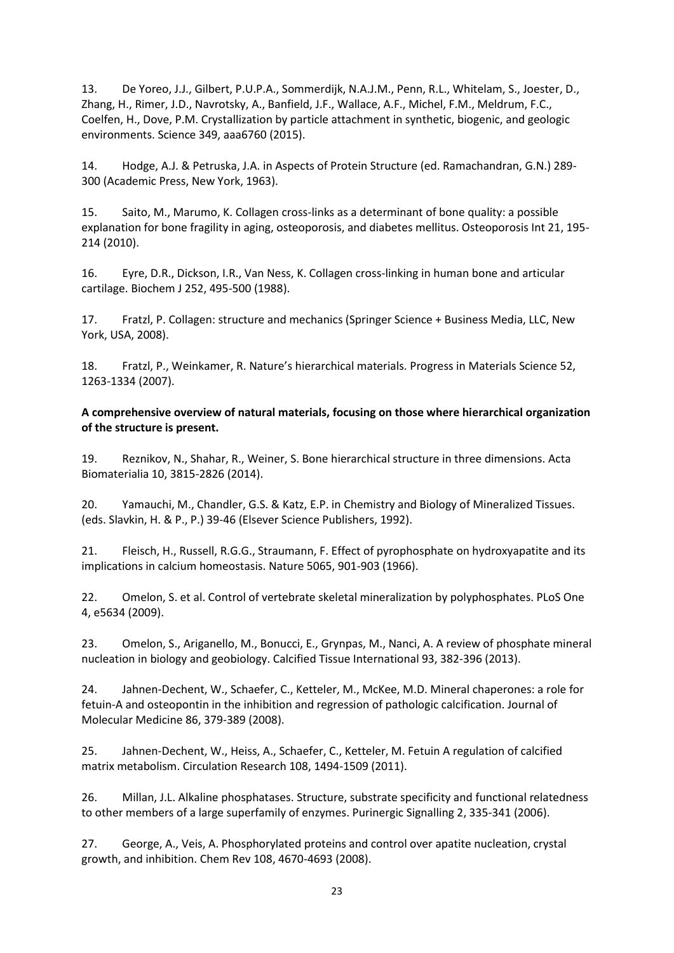13. De Yoreo, J.J., Gilbert, P.U.P.A., Sommerdijk, N.A.J.M., Penn, R.L., Whitelam, S., Joester, D., Zhang, H., Rimer, J.D., Navrotsky, A., Banfield, J.F., Wallace, A.F., Michel, F.M., Meldrum, F.C., Coelfen, H., Dove, P.M. Crystallization by particle attachment in synthetic, biogenic, and geologic environments. Science 349, aaa6760 (2015).

14. Hodge, A.J. & Petruska, J.A. in Aspects of Protein Structure (ed. Ramachandran, G.N.) 289- 300 (Academic Press, New York, 1963).

15. Saito, M., Marumo, K. Collagen cross-links as a determinant of bone quality: a possible explanation for bone fragility in aging, osteoporosis, and diabetes mellitus. Osteoporosis Int 21, 195- 214 (2010).

16. Eyre, D.R., Dickson, I.R., Van Ness, K. Collagen cross-linking in human bone and articular cartilage. Biochem J 252, 495-500 (1988).

17. Fratzl, P. Collagen: structure and mechanics (Springer Science + Business Media, LLC, New York, USA, 2008).

18. Fratzl, P., Weinkamer, R. Nature's hierarchical materials. Progress in Materials Science 52, 1263-1334 (2007).

#### **A comprehensive overview of natural materials, focusing on those where hierarchical organization of the structure is present.**

19. Reznikov, N., Shahar, R., Weiner, S. Bone hierarchical structure in three dimensions. Acta Biomaterialia 10, 3815-2826 (2014).

20. Yamauchi, M., Chandler, G.S. & Katz, E.P. in Chemistry and Biology of Mineralized Tissues. (eds. Slavkin, H. & P., P.) 39-46 (Elsever Science Publishers, 1992).

21. Fleisch, H., Russell, R.G.G., Straumann, F. Effect of pyrophosphate on hydroxyapatite and its implications in calcium homeostasis. Nature 5065, 901-903 (1966).

22. Omelon, S. et al. Control of vertebrate skeletal mineralization by polyphosphates. PLoS One 4, e5634 (2009).

23. Omelon, S., Ariganello, M., Bonucci, E., Grynpas, M., Nanci, A. A review of phosphate mineral nucleation in biology and geobiology. Calcified Tissue International 93, 382-396 (2013).

24. Jahnen-Dechent, W., Schaefer, C., Ketteler, M., McKee, M.D. Mineral chaperones: a role for fetuin-A and osteopontin in the inhibition and regression of pathologic calcification. Journal of Molecular Medicine 86, 379-389 (2008).

25. Jahnen-Dechent, W., Heiss, A., Schaefer, C., Ketteler, M. Fetuin A regulation of calcified matrix metabolism. Circulation Research 108, 1494-1509 (2011).

26. Millan, J.L. Alkaline phosphatases. Structure, substrate specificity and functional relatedness to other members of a large superfamily of enzymes. Purinergic Signalling 2, 335-341 (2006).

27. George, A., Veis, A. Phosphorylated proteins and control over apatite nucleation, crystal growth, and inhibition. Chem Rev 108, 4670-4693 (2008).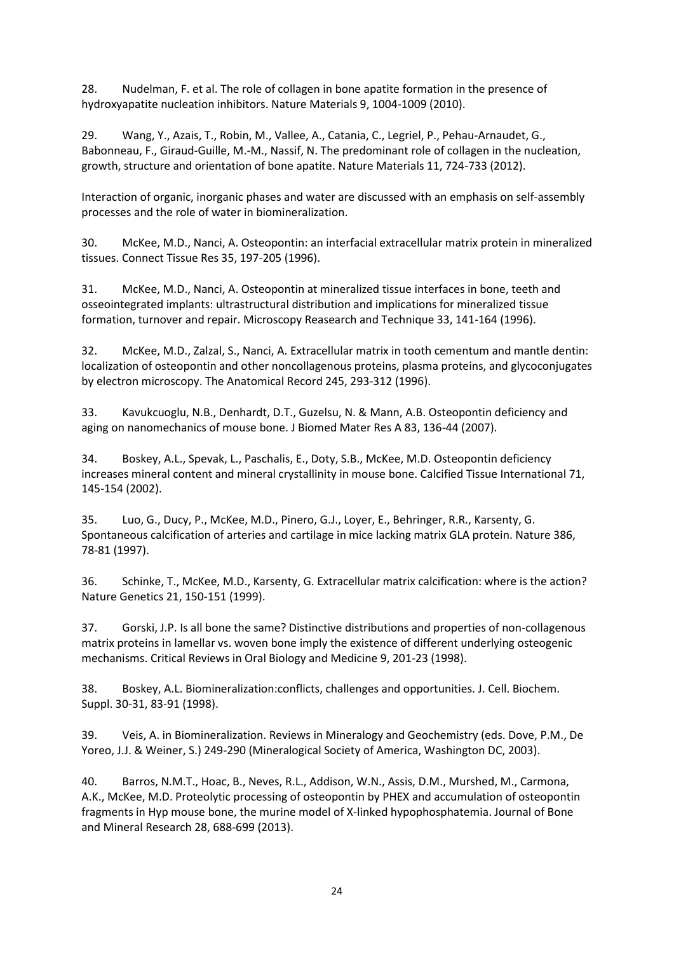28. Nudelman, F. et al. The role of collagen in bone apatite formation in the presence of hydroxyapatite nucleation inhibitors. Nature Materials 9, 1004-1009 (2010).

29. Wang, Y., Azais, T., Robin, M., Vallee, A., Catania, C., Legriel, P., Pehau-Arnaudet, G., Babonneau, F., Giraud-Guille, M.-M., Nassif, N. The predominant role of collagen in the nucleation, growth, structure and orientation of bone apatite. Nature Materials 11, 724-733 (2012).

Interaction of organic, inorganic phases and water are discussed with an emphasis on self-assembly processes and the role of water in biomineralization.

30. McKee, M.D., Nanci, A. Osteopontin: an interfacial extracellular matrix protein in mineralized tissues. Connect Tissue Res 35, 197-205 (1996).

31. McKee, M.D., Nanci, A. Osteopontin at mineralized tissue interfaces in bone, teeth and osseointegrated implants: ultrastructural distribution and implications for mineralized tissue formation, turnover and repair. Microscopy Reasearch and Technique 33, 141-164 (1996).

32. McKee, M.D., Zalzal, S., Nanci, A. Extracellular matrix in tooth cementum and mantle dentin: localization of osteopontin and other noncollagenous proteins, plasma proteins, and glycoconjugates by electron microscopy. The Anatomical Record 245, 293-312 (1996).

33. Kavukcuoglu, N.B., Denhardt, D.T., Guzelsu, N. & Mann, A.B. Osteopontin deficiency and aging on nanomechanics of mouse bone. J Biomed Mater Res A 83, 136-44 (2007).

34. Boskey, A.L., Spevak, L., Paschalis, E., Doty, S.B., McKee, M.D. Osteopontin deficiency increases mineral content and mineral crystallinity in mouse bone. Calcified Tissue International 71, 145-154 (2002).

35. Luo, G., Ducy, P., McKee, M.D., Pinero, G.J., Loyer, E., Behringer, R.R., Karsenty, G. Spontaneous calcification of arteries and cartilage in mice lacking matrix GLA protein. Nature 386, 78-81 (1997).

36. Schinke, T., McKee, M.D., Karsenty, G. Extracellular matrix calcification: where is the action? Nature Genetics 21, 150-151 (1999).

37. Gorski, J.P. Is all bone the same? Distinctive distributions and properties of non-collagenous matrix proteins in lamellar vs. woven bone imply the existence of different underlying osteogenic mechanisms. Critical Reviews in Oral Biology and Medicine 9, 201-23 (1998).

38. Boskey, A.L. Biomineralization:conflicts, challenges and opportunities. J. Cell. Biochem. Suppl. 30-31, 83-91 (1998).

39. Veis, A. in Biomineralization. Reviews in Mineralogy and Geochemistry (eds. Dove, P.M., De Yoreo, J.J. & Weiner, S.) 249-290 (Mineralogical Society of America, Washington DC, 2003).

40. Barros, N.M.T., Hoac, B., Neves, R.L., Addison, W.N., Assis, D.M., Murshed, M., Carmona, A.K., McKee, M.D. Proteolytic processing of osteopontin by PHEX and accumulation of osteopontin fragments in Hyp mouse bone, the murine model of X-linked hypophosphatemia. Journal of Bone and Mineral Research 28, 688-699 (2013).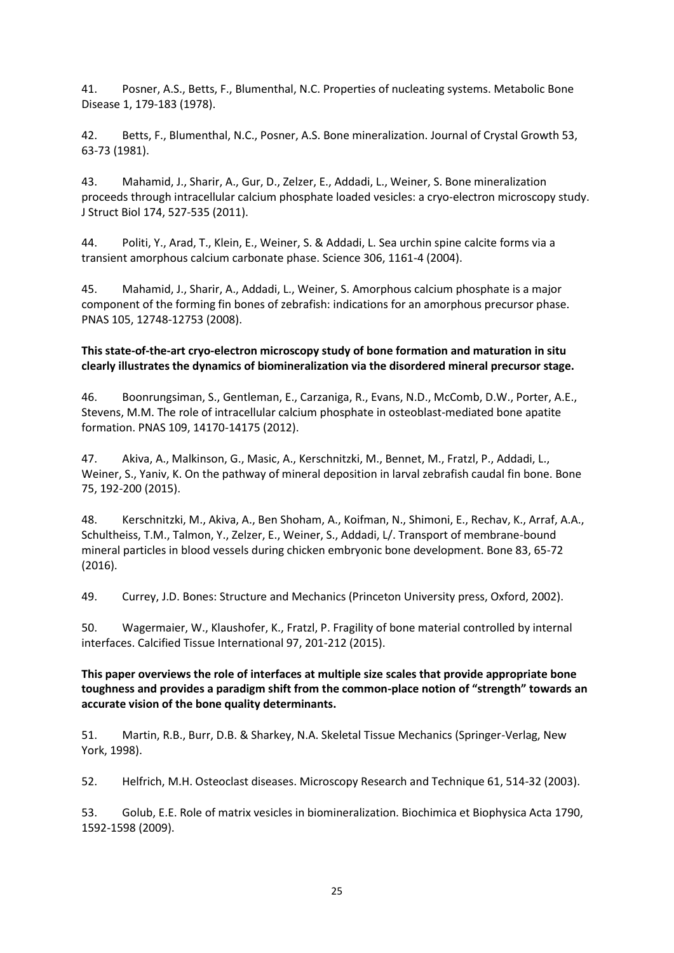41. Posner, A.S., Betts, F., Blumenthal, N.C. Properties of nucleating systems. Metabolic Bone Disease 1, 179-183 (1978).

42. Betts, F., Blumenthal, N.C., Posner, A.S. Bone mineralization. Journal of Crystal Growth 53, 63-73 (1981).

43. Mahamid, J., Sharir, A., Gur, D., Zelzer, E., Addadi, L., Weiner, S. Bone mineralization proceeds through intracellular calcium phosphate loaded vesicles: a cryo-electron microscopy study. J Struct Biol 174, 527-535 (2011).

44. Politi, Y., Arad, T., Klein, E., Weiner, S. & Addadi, L. Sea urchin spine calcite forms via a transient amorphous calcium carbonate phase. Science 306, 1161-4 (2004).

45. Mahamid, J., Sharir, A., Addadi, L., Weiner, S. Amorphous calcium phosphate is a major component of the forming fin bones of zebrafish: indications for an amorphous precursor phase. PNAS 105, 12748-12753 (2008).

#### **This state-of-the-art cryo-electron microscopy study of bone formation and maturation in situ clearly illustrates the dynamics of biomineralization via the disordered mineral precursor stage.**

46. Boonrungsiman, S., Gentleman, E., Carzaniga, R., Evans, N.D., McComb, D.W., Porter, A.E., Stevens, M.M. The role of intracellular calcium phosphate in osteoblast-mediated bone apatite formation. PNAS 109, 14170-14175 (2012).

47. Akiva, A., Malkinson, G., Masic, A., Kerschnitzki, M., Bennet, M., Fratzl, P., Addadi, L., Weiner, S., Yaniv, K. On the pathway of mineral deposition in larval zebrafish caudal fin bone. Bone 75, 192-200 (2015).

48. Kerschnitzki, M., Akiva, A., Ben Shoham, A., Koifman, N., Shimoni, E., Rechav, K., Arraf, A.A., Schultheiss, T.M., Talmon, Y., Zelzer, E., Weiner, S., Addadi, L/. Transport of membrane-bound mineral particles in blood vessels during chicken embryonic bone development. Bone 83, 65-72 (2016).

49. Currey, J.D. Bones: Structure and Mechanics (Princeton University press, Oxford, 2002).

50. Wagermaier, W., Klaushofer, K., Fratzl, P. Fragility of bone material controlled by internal interfaces. Calcified Tissue International 97, 201-212 (2015).

## **This paper overviews the role of interfaces at multiple size scales that provide appropriate bone toughness and provides a paradigm shift from the common-place notion of "strength" towards an accurate vision of the bone quality determinants.**

51. Martin, R.B., Burr, D.B. & Sharkey, N.A. Skeletal Tissue Mechanics (Springer-Verlag, New York, 1998).

52. Helfrich, M.H. Osteoclast diseases. Microscopy Research and Technique 61, 514-32 (2003).

53. Golub, E.E. Role of matrix vesicles in biomineralization. Biochimica et Biophysica Acta 1790, 1592-1598 (2009).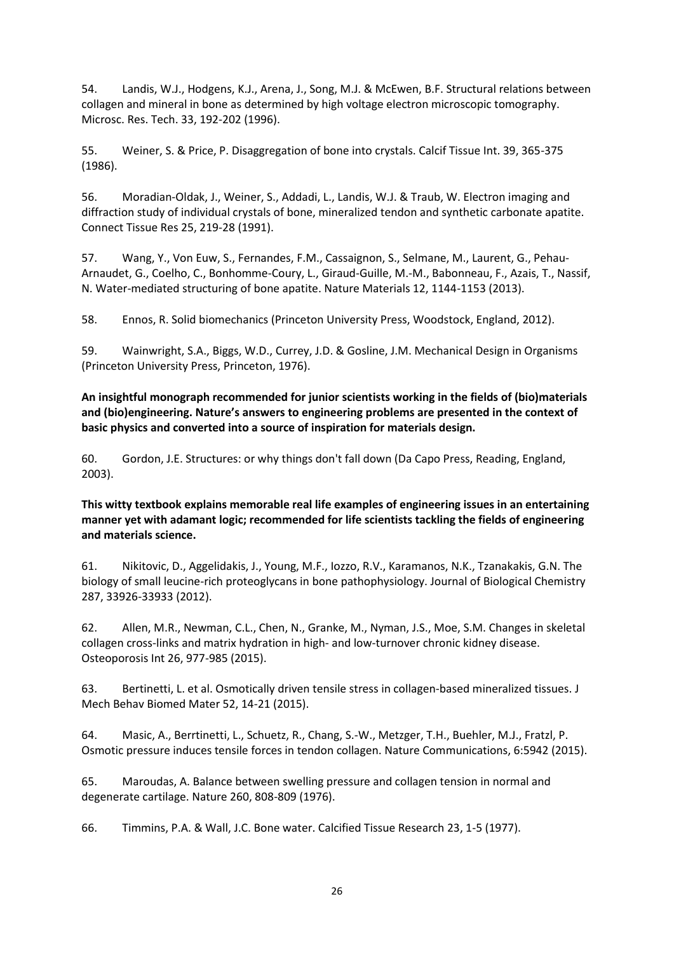54. Landis, W.J., Hodgens, K.J., Arena, J., Song, M.J. & McEwen, B.F. Structural relations between collagen and mineral in bone as determined by high voltage electron microscopic tomography. Microsc. Res. Tech. 33, 192-202 (1996).

55. Weiner, S. & Price, P. Disaggregation of bone into crystals. Calcif Tissue Int. 39, 365-375 (1986).

56. Moradian-Oldak, J., Weiner, S., Addadi, L., Landis, W.J. & Traub, W. Electron imaging and diffraction study of individual crystals of bone, mineralized tendon and synthetic carbonate apatite. Connect Tissue Res 25, 219-28 (1991).

57. Wang, Y., Von Euw, S., Fernandes, F.M., Cassaignon, S., Selmane, M., Laurent, G., Pehau-Arnaudet, G., Coelho, C., Bonhomme-Coury, L., Giraud-Guille, M.-M., Babonneau, F., Azais, T., Nassif, N. Water-mediated structuring of bone apatite. Nature Materials 12, 1144-1153 (2013).

58. Ennos, R. Solid biomechanics (Princeton University Press, Woodstock, England, 2012).

59. Wainwright, S.A., Biggs, W.D., Currey, J.D. & Gosline, J.M. Mechanical Design in Organisms (Princeton University Press, Princeton, 1976).

**An insightful monograph recommended for junior scientists working in the fields of (bio)materials and (bio)engineering. Nature's answers to engineering problems are presented in the context of basic physics and converted into a source of inspiration for materials design.**

60. Gordon, J.E. Structures: or why things don't fall down (Da Capo Press, Reading, England, 2003).

## **This witty textbook explains memorable real life examples of engineering issues in an entertaining manner yet with adamant logic; recommended for life scientists tackling the fields of engineering and materials science.**

61. Nikitovic, D., Aggelidakis, J., Young, M.F., Iozzo, R.V., Karamanos, N.K., Tzanakakis, G.N. The biology of small leucine-rich proteoglycans in bone pathophysiology. Journal of Biological Chemistry 287, 33926-33933 (2012).

62. Allen, M.R., Newman, C.L., Chen, N., Granke, M., Nyman, J.S., Moe, S.M. Changes in skeletal collagen cross-links and matrix hydration in high- and low-turnover chronic kidney disease. Osteoporosis Int 26, 977-985 (2015).

63. Bertinetti, L. et al. Osmotically driven tensile stress in collagen-based mineralized tissues. J Mech Behav Biomed Mater 52, 14-21 (2015).

64. Masic, A., Berrtinetti, L., Schuetz, R., Chang, S.-W., Metzger, T.H., Buehler, M.J., Fratzl, P. Osmotic pressure induces tensile forces in tendon collagen. Nature Communications, 6:5942 (2015).

65. Maroudas, A. Balance between swelling pressure and collagen tension in normal and degenerate cartilage. Nature 260, 808-809 (1976).

66. Timmins, P.A. & Wall, J.C. Bone water. Calcified Tissue Research 23, 1-5 (1977).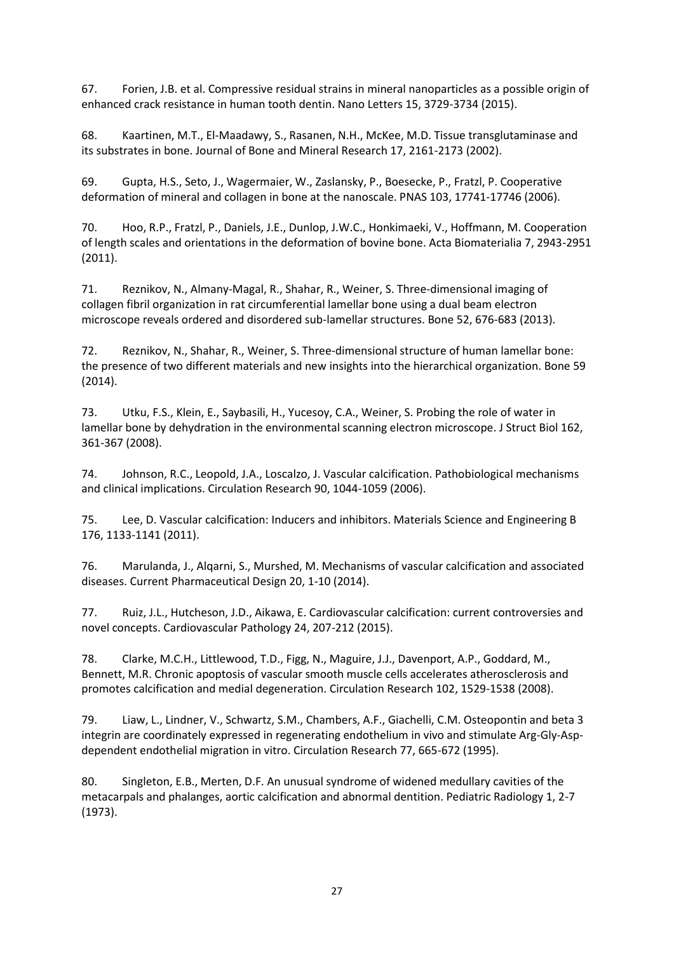67. Forien, J.B. et al. Compressive residual strains in mineral nanoparticles as a possible origin of enhanced crack resistance in human tooth dentin. Nano Letters 15, 3729-3734 (2015).

68. Kaartinen, M.T., El-Maadawy, S., Rasanen, N.H., McKee, M.D. Tissue transglutaminase and its substrates in bone. Journal of Bone and Mineral Research 17, 2161-2173 (2002).

69. Gupta, H.S., Seto, J., Wagermaier, W., Zaslansky, P., Boesecke, P., Fratzl, P. Cooperative deformation of mineral and collagen in bone at the nanoscale. PNAS 103, 17741-17746 (2006).

70. Hoo, R.P., Fratzl, P., Daniels, J.E., Dunlop, J.W.C., Honkimaeki, V., Hoffmann, M. Cooperation of length scales and orientations in the deformation of bovine bone. Acta Biomaterialia 7, 2943-2951 (2011).

71. Reznikov, N., Almany-Magal, R., Shahar, R., Weiner, S. Three-dimensional imaging of collagen fibril organization in rat circumferential lamellar bone using a dual beam electron microscope reveals ordered and disordered sub-lamellar structures. Bone 52, 676-683 (2013).

72. Reznikov, N., Shahar, R., Weiner, S. Three-dimensional structure of human lamellar bone: the presence of two different materials and new insights into the hierarchical organization. Bone 59 (2014).

73. Utku, F.S., Klein, E., Saybasili, H., Yucesoy, C.A., Weiner, S. Probing the role of water in lamellar bone by dehydration in the environmental scanning electron microscope. J Struct Biol 162, 361-367 (2008).

74. Johnson, R.C., Leopold, J.A., Loscalzo, J. Vascular calcification. Pathobiological mechanisms and clinical implications. Circulation Research 90, 1044-1059 (2006).

75. Lee, D. Vascular calcification: Inducers and inhibitors. Materials Science and Engineering B 176, 1133-1141 (2011).

76. Marulanda, J., Alqarni, S., Murshed, M. Mechanisms of vascular calcification and associated diseases. Current Pharmaceutical Design 20, 1-10 (2014).

77. Ruiz, J.L., Hutcheson, J.D., Aikawa, E. Cardiovascular calcification: current controversies and novel concepts. Cardiovascular Pathology 24, 207-212 (2015).

78. Clarke, M.C.H., Littlewood, T.D., Figg, N., Maguire, J.J., Davenport, A.P., Goddard, M., Bennett, M.R. Chronic apoptosis of vascular smooth muscle cells accelerates atherosclerosis and promotes calcification and medial degeneration. Circulation Research 102, 1529-1538 (2008).

79. Liaw, L., Lindner, V., Schwartz, S.M., Chambers, A.F., Giachelli, C.M. Osteopontin and beta 3 integrin are coordinately expressed in regenerating endothelium in vivo and stimulate Arg-Gly-Aspdependent endothelial migration in vitro. Circulation Research 77, 665-672 (1995).

80. Singleton, E.B., Merten, D.F. An unusual syndrome of widened medullary cavities of the metacarpals and phalanges, aortic calcification and abnormal dentition. Pediatric Radiology 1, 2-7 (1973).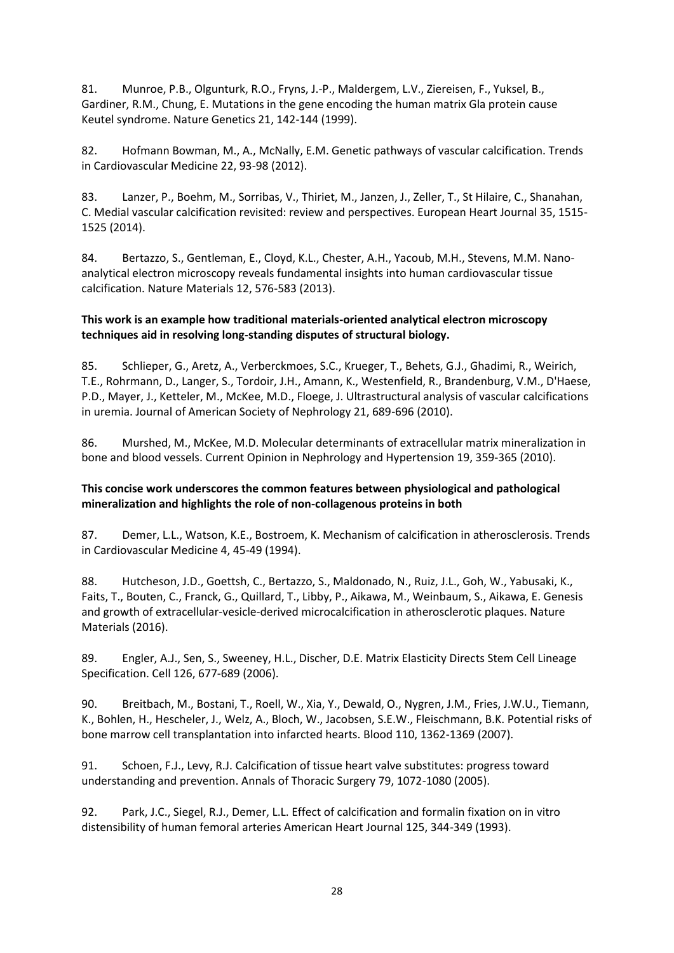81. Munroe, P.B., Olgunturk, R.O., Fryns, J.-P., Maldergem, L.V., Ziereisen, F., Yuksel, B., Gardiner, R.M., Chung, E. Mutations in the gene encoding the human matrix Gla protein cause Keutel syndrome. Nature Genetics 21, 142-144 (1999).

82. Hofmann Bowman, M., A., McNally, E.M. Genetic pathways of vascular calcification. Trends in Cardiovascular Medicine 22, 93-98 (2012).

83. Lanzer, P., Boehm, M., Sorribas, V., Thiriet, M., Janzen, J., Zeller, T., St Hilaire, C., Shanahan, C. Medial vascular calcification revisited: review and perspectives. European Heart Journal 35, 1515- 1525 (2014).

84. Bertazzo, S., Gentleman, E., Cloyd, K.L., Chester, A.H., Yacoub, M.H., Stevens, M.M. Nanoanalytical electron microscopy reveals fundamental insights into human cardiovascular tissue calcification. Nature Materials 12, 576-583 (2013).

## **This work is an example how traditional materials-oriented analytical electron microscopy techniques aid in resolving long-standing disputes of structural biology.**

85. Schlieper, G., Aretz, A., Verberckmoes, S.C., Krueger, T., Behets, G.J., Ghadimi, R., Weirich, T.E., Rohrmann, D., Langer, S., Tordoir, J.H., Amann, K., Westenfield, R., Brandenburg, V.M., D'Haese, P.D., Mayer, J., Ketteler, M., McKee, M.D., Floege, J. Ultrastructural analysis of vascular calcifications in uremia. Journal of American Society of Nephrology 21, 689-696 (2010).

86. Murshed, M., McKee, M.D. Molecular determinants of extracellular matrix mineralization in bone and blood vessels. Current Opinion in Nephrology and Hypertension 19, 359-365 (2010).

## **This concise work underscores the common features between physiological and pathological mineralization and highlights the role of non-collagenous proteins in both**

87. Demer, L.L., Watson, K.E., Bostroem, K. Mechanism of calcification in atherosclerosis. Trends in Cardiovascular Medicine 4, 45-49 (1994).

88. Hutcheson, J.D., Goettsh, C., Bertazzo, S., Maldonado, N., Ruiz, J.L., Goh, W., Yabusaki, K., Faits, T., Bouten, C., Franck, G., Quillard, T., Libby, P., Aikawa, M., Weinbaum, S., Aikawa, E. Genesis and growth of extracellular-vesicle-derived microcalcification in atherosclerotic plaques. Nature Materials (2016).

89. Engler, A.J., Sen, S., Sweeney, H.L., Discher, D.E. Matrix Elasticity Directs Stem Cell Lineage Specification. Cell 126, 677-689 (2006).

90. Breitbach, M., Bostani, T., Roell, W., Xia, Y., Dewald, O., Nygren, J.M., Fries, J.W.U., Tiemann, K., Bohlen, H., Hescheler, J., Welz, A., Bloch, W., Jacobsen, S.E.W., Fleischmann, B.K. Potential risks of bone marrow cell transplantation into infarcted hearts. Blood 110, 1362-1369 (2007).

91. Schoen, F.J., Levy, R.J. Calcification of tissue heart valve substitutes: progress toward understanding and prevention. Annals of Thoracic Surgery 79, 1072-1080 (2005).

92. Park, J.C., Siegel, R.J., Demer, L.L. Effect of calcification and formalin fixation on in vitro distensibility of human femoral arteries American Heart Journal 125, 344-349 (1993).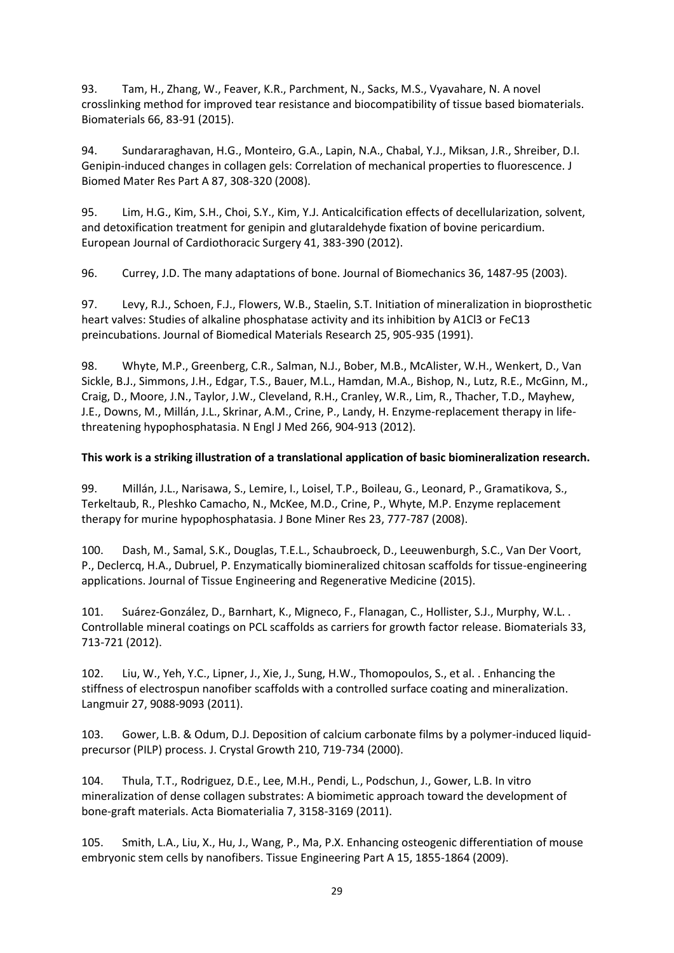93. Tam, H., Zhang, W., Feaver, K.R., Parchment, N., Sacks, M.S., Vyavahare, N. A novel crosslinking method for improved tear resistance and biocompatibility of tissue based biomaterials. Biomaterials 66, 83-91 (2015).

94. Sundararaghavan, H.G., Monteiro, G.A., Lapin, N.A., Chabal, Y.J., Miksan, J.R., Shreiber, D.I. Genipin-induced changes in collagen gels: Correlation of mechanical properties to fluorescence. J Biomed Mater Res Part A 87, 308-320 (2008).

95. Lim, H.G., Kim, S.H., Choi, S.Y., Kim, Y.J. Anticalcification effects of decellularization, solvent, and detoxification treatment for genipin and glutaraldehyde fixation of bovine pericardium. European Journal of Cardiothoracic Surgery 41, 383-390 (2012).

96. Currey, J.D. The many adaptations of bone. Journal of Biomechanics 36, 1487-95 (2003).

97. Levy, R.J., Schoen, F.J., Flowers, W.B., Staelin, S.T. Initiation of mineralization in bioprosthetic heart valves: Studies of alkaline phosphatase activity and its inhibition by A1Cl3 or FeC13 preincubations. Journal of Biomedical Materials Research 25, 905-935 (1991).

98. Whyte, M.P., Greenberg, C.R., Salman, N.J., Bober, M.B., McAlister, W.H., Wenkert, D., Van Sickle, B.J., Simmons, J.H., Edgar, T.S., Bauer, M.L., Hamdan, M.A., Bishop, N., Lutz, R.E., McGinn, M., Craig, D., Moore, J.N., Taylor, J.W., Cleveland, R.H., Cranley, W.R., Lim, R., Thacher, T.D., Mayhew, J.E., Downs, M., Millán, J.L., Skrinar, A.M., Crine, P., Landy, H. Enzyme-replacement therapy in lifethreatening hypophosphatasia. N Engl J Med 266, 904-913 (2012).

# **This work is a striking illustration of a translational application of basic biomineralization research.**

99. Millán, J.L., Narisawa, S., Lemire, I., Loisel, T.P., Boileau, G., Leonard, P., Gramatikova, S., Terkeltaub, R., Pleshko Camacho, N., McKee, M.D., Crine, P., Whyte, M.P. Enzyme replacement therapy for murine hypophosphatasia. J Bone Miner Res 23, 777-787 (2008).

100. Dash, M., Samal, S.K., Douglas, T.E.L., Schaubroeck, D., Leeuwenburgh, S.C., Van Der Voort, P., Declercq, H.A., Dubruel, P. Enzymatically biomineralized chitosan scaffolds for tissue-engineering applications. Journal of Tissue Engineering and Regenerative Medicine (2015).

101. Suárez-González, D., Barnhart, K., Migneco, F., Flanagan, C., Hollister, S.J., Murphy, W.L. . Controllable mineral coatings on PCL scaffolds as carriers for growth factor release. Biomaterials 33, 713-721 (2012).

102. Liu, W., Yeh, Y.C., Lipner, J., Xie, J., Sung, H.W., Thomopoulos, S., et al. . Enhancing the stiffness of electrospun nanofiber scaffolds with a controlled surface coating and mineralization. Langmuir 27, 9088-9093 (2011).

103. Gower, L.B. & Odum, D.J. Deposition of calcium carbonate films by a polymer-induced liquidprecursor (PILP) process. J. Crystal Growth 210, 719-734 (2000).

104. Thula, T.T., Rodriguez, D.E., Lee, M.H., Pendi, L., Podschun, J., Gower, L.B. In vitro mineralization of dense collagen substrates: A biomimetic approach toward the development of bone-graft materials. Acta Biomaterialia 7, 3158-3169 (2011).

105. Smith, L.A., Liu, X., Hu, J., Wang, P., Ma, P.X. Enhancing osteogenic differentiation of mouse embryonic stem cells by nanofibers. Tissue Engineering Part A 15, 1855-1864 (2009).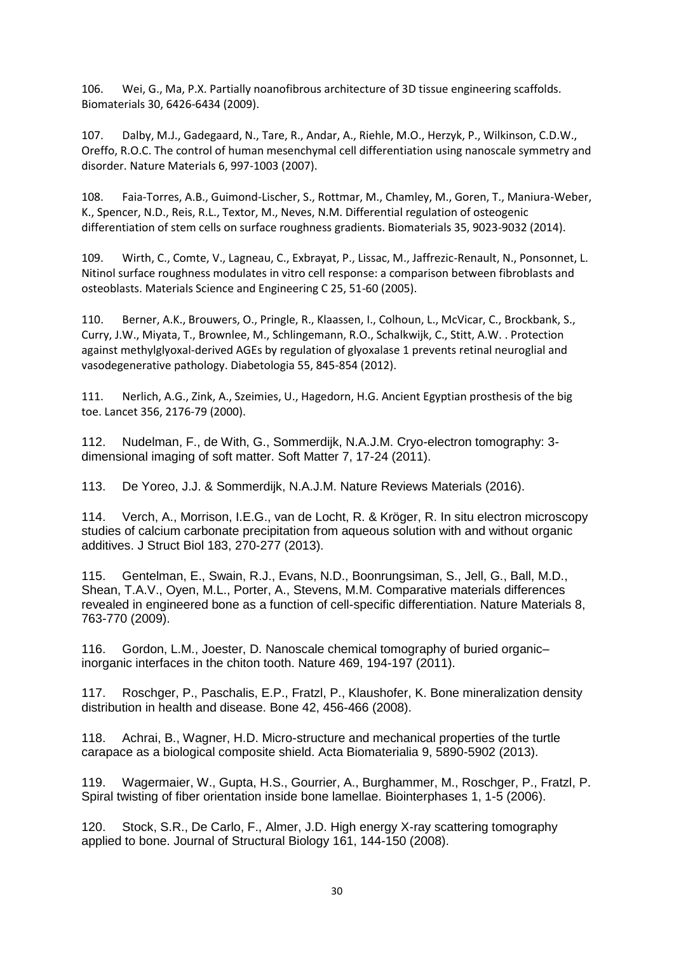106. Wei, G., Ma, P.X. Partially noanofibrous architecture of 3D tissue engineering scaffolds. Biomaterials 30, 6426-6434 (2009).

107. Dalby, M.J., Gadegaard, N., Tare, R., Andar, A., Riehle, M.O., Herzyk, P., Wilkinson, C.D.W., Oreffo, R.O.C. The control of human mesenchymal cell differentiation using nanoscale symmetry and disorder. Nature Materials 6, 997-1003 (2007).

108. Faia-Torres, A.B., Guimond-Lischer, S., Rottmar, M., Chamley, M., Goren, T., Maniura-Weber, K., Spencer, N.D., Reis, R.L., Textor, M., Neves, N.M. Differential regulation of osteogenic differentiation of stem cells on surface roughness gradients. Biomaterials 35, 9023-9032 (2014).

109. Wirth, C., Comte, V., Lagneau, C., Exbrayat, P., Lissac, M., Jaffrezic-Renault, N., Ponsonnet, L. Nitinol surface roughness modulates in vitro cell response: a comparison between fibroblasts and osteoblasts. Materials Science and Engineering C 25, 51-60 (2005).

110. Berner, A.K., Brouwers, O., Pringle, R., Klaassen, I., Colhoun, L., McVicar, C., Brockbank, S., Curry, J.W., Miyata, T., Brownlee, M., Schlingemann, R.O., Schalkwijk, C., Stitt, A.W. . Protection against methylglyoxal-derived AGEs by regulation of glyoxalase 1 prevents retinal neuroglial and vasodegenerative pathology. Diabetologia 55, 845-854 (2012).

111. Nerlich, A.G., Zink, A., Szeimies, U., Hagedorn, H.G. Ancient Egyptian prosthesis of the big toe. Lancet 356, 2176-79 (2000).

112. Nudelman, F., de With, G., Sommerdijk, N.A.J.M. Cryo-electron tomography: 3 dimensional imaging of soft matter. Soft Matter 7, 17-24 (2011).

113. De Yoreo, J.J. & Sommerdijk, N.A.J.M. Nature Reviews Materials (2016).

114. Verch, A., Morrison, I.E.G., van de Locht, R. & Kröger, R. In situ electron microscopy studies of calcium carbonate precipitation from aqueous solution with and without organic additives. J Struct Biol 183, 270-277 (2013).

115. Gentelman, E., Swain, R.J., Evans, N.D., Boonrungsiman, S., Jell, G., Ball, M.D., Shean, T.A.V., Oyen, M.L., Porter, A., Stevens, M.M. Comparative materials differences revealed in engineered bone as a function of cell-specific differentiation. Nature Materials 8, 763-770 (2009).

116. Gordon, L.M., Joester, D. Nanoscale chemical tomography of buried organic– inorganic interfaces in the chiton tooth. Nature 469, 194-197 (2011).

117. Roschger, P., Paschalis, E.P., Fratzl, P., Klaushofer, K. Bone mineralization density distribution in health and disease. Bone 42, 456-466 (2008).

118. Achrai, B., Wagner, H.D. Micro-structure and mechanical properties of the turtle carapace as a biological composite shield. Acta Biomaterialia 9, 5890-5902 (2013).

119. Wagermaier, W., Gupta, H.S., Gourrier, A., Burghammer, M., Roschger, P., Fratzl, P. Spiral twisting of fiber orientation inside bone lamellae. Biointerphases 1, 1-5 (2006).

120. Stock, S.R., De Carlo, F., Almer, J.D. High energy X-ray scattering tomography applied to bone. Journal of Structural Biology 161, 144-150 (2008).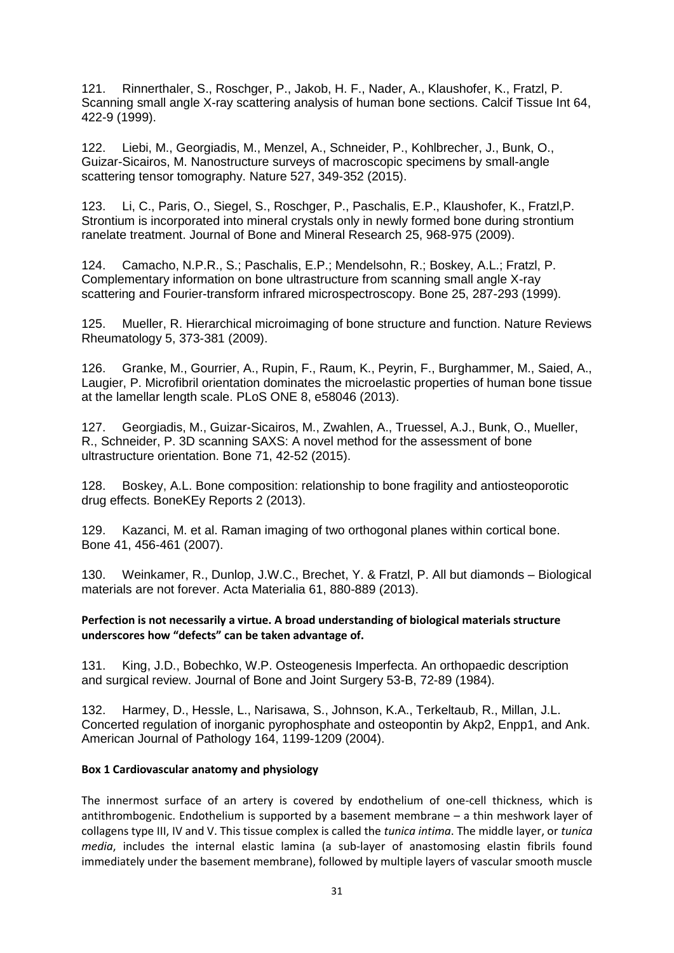121. Rinnerthaler, S., Roschger, P., Jakob, H. F., Nader, A., Klaushofer, K., Fratzl, P. Scanning small angle X-ray scattering analysis of human bone sections. Calcif Tissue Int 64, 422-9 (1999).

122. Liebi, M., Georgiadis, M., Menzel, A., Schneider, P., Kohlbrecher, J., Bunk, O., Guizar-Sicairos, M. Nanostructure surveys of macroscopic specimens by small-angle scattering tensor tomography. Nature 527, 349-352 (2015).

123. Li, C., Paris, O., Siegel, S., Roschger, P., Paschalis, E.P., Klaushofer, K., Fratzl,P. Strontium is incorporated into mineral crystals only in newly formed bone during strontium ranelate treatment. Journal of Bone and Mineral Research 25, 968-975 (2009).

124. Camacho, N.P.R., S.; Paschalis, E.P.; Mendelsohn, R.; Boskey, A.L.; Fratzl, P. Complementary information on bone ultrastructure from scanning small angle X-ray scattering and Fourier-transform infrared microspectroscopy. Bone 25, 287-293 (1999).

125. Mueller, R. Hierarchical microimaging of bone structure and function. Nature Reviews Rheumatology 5, 373-381 (2009).

126. Granke, M., Gourrier, A., Rupin, F., Raum, K., Peyrin, F., Burghammer, M., Saied, A., Laugier, P. Microfibril orientation dominates the microelastic properties of human bone tissue at the lamellar length scale. PLoS ONE 8, e58046 (2013).

127. Georgiadis, M., Guizar-Sicairos, M., Zwahlen, A., Truessel, A.J., Bunk, O., Mueller, R., Schneider, P. 3D scanning SAXS: A novel method for the assessment of bone ultrastructure orientation. Bone 71, 42-52 (2015).

128. Boskey, A.L. Bone composition: relationship to bone fragility and antiosteoporotic drug effects. BoneKEy Reports 2 (2013).

129. Kazanci, M. et al. Raman imaging of two orthogonal planes within cortical bone. Bone 41, 456-461 (2007).

130. Weinkamer, R., Dunlop, J.W.C., Brechet, Y. & Fratzl, P. All but diamonds – Biological materials are not forever. Acta Materialia 61, 880-889 (2013).

#### **Perfection is not necessarily a virtue. A broad understanding of biological materials structure underscores how "defects" can be taken advantage of.**

131. King, J.D., Bobechko, W.P. Osteogenesis Imperfecta. An orthopaedic description and surgical review. Journal of Bone and Joint Surgery 53-B, 72-89 (1984).

132. Harmey, D., Hessle, L., Narisawa, S., Johnson, K.A., Terkeltaub, R., Millan, J.L. Concerted regulation of inorganic pyrophosphate and osteopontin by Akp2, Enpp1, and Ank. American Journal of Pathology 164, 1199-1209 (2004).

#### **Box 1 Cardiovascular anatomy and physiology**

The innermost surface of an artery is covered by endothelium of one-cell thickness, which is antithrombogenic. Endothelium is supported by a basement membrane – a thin meshwork layer of collagens type III, IV and V. This tissue complex is called the *tunica intima*. The middle layer, or *tunica media*, includes the internal elastic lamina (a sub-layer of anastomosing elastin fibrils found immediately under the basement membrane), followed by multiple layers of vascular smooth muscle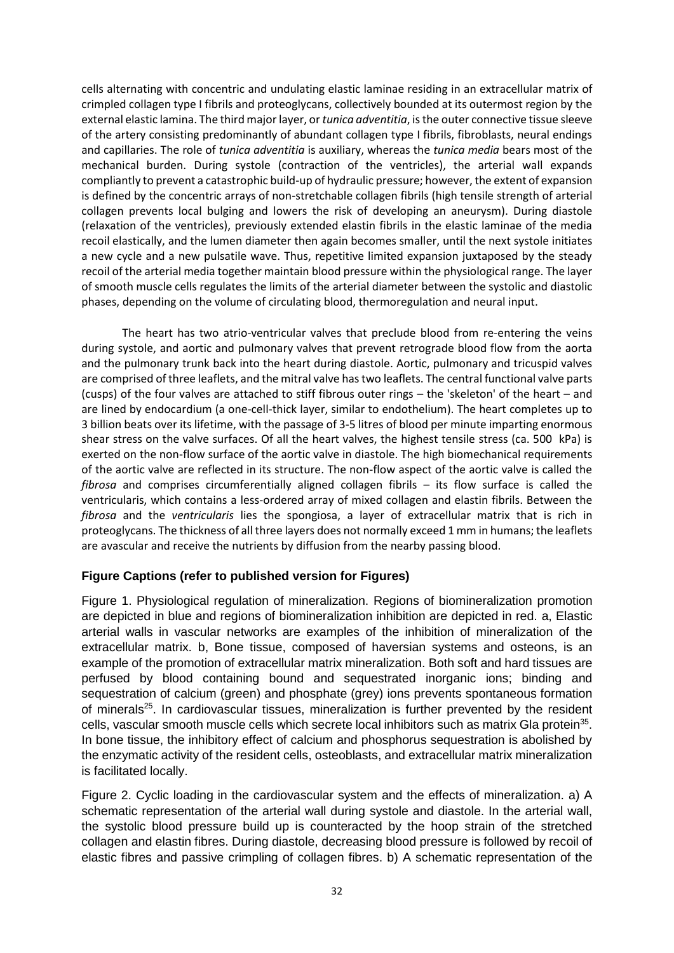cells alternating with concentric and undulating elastic laminae residing in an extracellular matrix of crimpled collagen type I fibrils and proteoglycans, collectively bounded at its outermost region by the external elastic lamina. The third major layer, or *tunica adventitia*, is the outer connective tissue sleeve of the artery consisting predominantly of abundant collagen type I fibrils, fibroblasts, neural endings and capillaries. The role of *tunica adventitia* is auxiliary, whereas the *tunica media* bears most of the mechanical burden. During systole (contraction of the ventricles), the arterial wall expands compliantly to prevent a catastrophic build-up of hydraulic pressure; however, the extent of expansion is defined by the concentric arrays of non-stretchable collagen fibrils (high tensile strength of arterial collagen prevents local bulging and lowers the risk of developing an aneurysm). During diastole (relaxation of the ventricles), previously extended elastin fibrils in the elastic laminae of the media recoil elastically, and the lumen diameter then again becomes smaller, until the next systole initiates a new cycle and a new pulsatile wave. Thus, repetitive limited expansion juxtaposed by the steady recoil of the arterial media together maintain blood pressure within the physiological range. The layer of smooth muscle cells regulates the limits of the arterial diameter between the systolic and diastolic phases, depending on the volume of circulating blood, thermoregulation and neural input.

The heart has two atrio-ventricular valves that preclude blood from re-entering the veins during systole, and aortic and pulmonary valves that prevent retrograde blood flow from the aorta and the pulmonary trunk back into the heart during diastole. Aortic, pulmonary and tricuspid valves are comprised of three leaflets, and the mitral valve has two leaflets. The central functional valve parts (cusps) of the four valves are attached to stiff fibrous outer rings – the 'skeleton' of the heart – and are lined by endocardium (a one-cell-thick layer, similar to endothelium). The heart completes up to 3 billion beats over its lifetime, with the passage of 3-5 litres of blood per minute imparting enormous shear stress on the valve surfaces. Of all the heart valves, the highest tensile stress (ca. 500 kPa) is exerted on the non-flow surface of the aortic valve in diastole. The high biomechanical requirements of the aortic valve are reflected in its structure. The non-flow aspect of the aortic valve is called the *fibrosa* and comprises circumferentially aligned collagen fibrils – its flow surface is called the ventricularis, which contains a less-ordered array of mixed collagen and elastin fibrils. Between the *fibrosa* and the *ventricularis* lies the spongiosa, a layer of extracellular matrix that is rich in proteoglycans. The thickness of all three layers does not normally exceed 1 mm in humans; the leaflets are avascular and receive the nutrients by diffusion from the nearby passing blood.

# **Figure Captions (refer to published version for Figures)**

Figure 1. Physiological regulation of mineralization. Regions of biomineralization promotion are depicted in blue and regions of biomineralization inhibition are depicted in red. a, Elastic arterial walls in vascular networks are examples of the inhibition of mineralization of the extracellular matrix. b, Bone tissue, composed of haversian systems and osteons, is an example of the promotion of extracellular matrix mineralization. Both soft and hard tissues are perfused by blood containing bound and sequestrated inorganic ions; binding and sequestration of calcium (green) and phosphate (grey) ions prevents spontaneous formation of minerals<sup>[25](#page-13-8)</sup>. In cardiovascular tissues, mineralization is further prevented by the resident cells, vascular smooth muscle cells which secrete local inhibitors such as matrix Gla protein<sup>[35](#page-14-3)</sup>. In bone tissue, the inhibitory effect of calcium and phosphorus sequestration is abolished by the enzymatic activity of the resident cells, osteoblasts, and extracellular matrix mineralization is facilitated locally.

Figure 2. Cyclic loading in the cardiovascular system and the effects of mineralization. a) A schematic representation of the arterial wall during systole and diastole. In the arterial wall, the systolic blood pressure build up is counteracted by the hoop strain of the stretched collagen and elastin fibres. During diastole, decreasing blood pressure is followed by recoil of elastic fibres and passive crimpling of collagen fibres. b) A schematic representation of the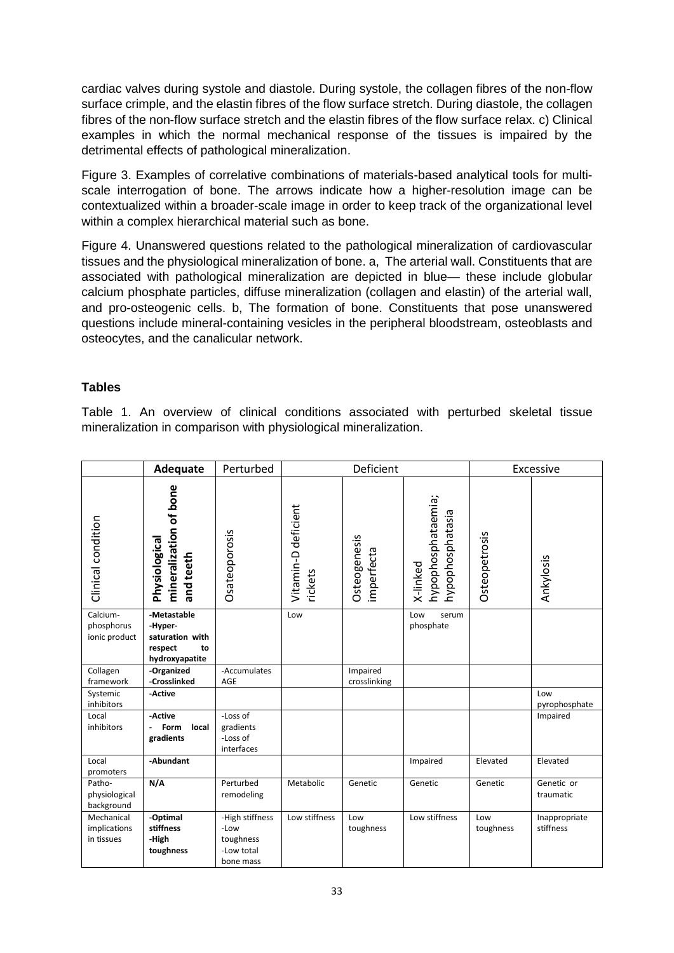cardiac valves during systole and diastole. During systole, the collagen fibres of the non-flow surface crimple, and the elastin fibres of the flow surface stretch. During diastole, the collagen fibres of the non-flow surface stretch and the elastin fibres of the flow surface relax. c) Clinical examples in which the normal mechanical response of the tissues is impaired by the detrimental effects of pathological mineralization.

Figure 3. Examples of correlative combinations of materials-based analytical tools for multiscale interrogation of bone. The arrows indicate how a higher-resolution image can be contextualized within a broader-scale image in order to keep track of the organizational level within a complex hierarchical material such as bone.

Figure 4. Unanswered questions related to the pathological mineralization of cardiovascular tissues and the physiological mineralization of bone. a, The arterial wall. Constituents that are associated with pathological mineralization are depicted in blue— these include globular calcium phosphate particles, diffuse mineralization (collagen and elastin) of the arterial wall, and pro-osteogenic cells. b, The formation of bone. Constituents that pose unanswered questions include mineral-containing vesicles in the peripheral bloodstream, osteoblasts and osteocytes, and the canalicular network.

# **Tables**

Table 1. An overview of clinical conditions associated with perturbed skeletal tissue mineralization in comparison with physiological mineralization.

|                                          | Adequate                                                                     | Perturbed                                                       |                                | Deficient                  |                                                    | Excessive        |                            |
|------------------------------------------|------------------------------------------------------------------------------|-----------------------------------------------------------------|--------------------------------|----------------------------|----------------------------------------------------|------------------|----------------------------|
| Clinical condition                       | mineralization of bone<br>Physiological<br>and teeth                         | Osateoporosis                                                   | Vitamin-D deficient<br>rickets | Osteogenesis<br>imperfecta | hypophosphataemia;<br>hypophosphatasia<br>X-linked | Osteopetrosis    | Ankylosis                  |
| Calcium-<br>phosphorus<br>ionic product  | -Metastable<br>-Hyper-<br>saturation with<br>respect<br>to<br>hydroxyapatite |                                                                 | Low                            |                            | Low<br>serum<br>phosphate                          |                  |                            |
| Collagen<br>framework                    | -Organized<br>-Crosslinked                                                   | -Accumulates<br>AGE                                             |                                | Impaired<br>crosslinking   |                                                    |                  |                            |
| Systemic<br>inhibitors                   | -Active                                                                      |                                                                 |                                |                            |                                                    |                  | Low<br>pyrophosphate       |
| Local<br>inhibitors                      | -Active<br>Form<br>local<br>gradients                                        | -Loss of<br>gradients<br>-Loss of<br>interfaces                 |                                |                            |                                                    |                  | Impaired                   |
| Local<br>promoters                       | -Abundant                                                                    |                                                                 |                                |                            | Impaired                                           | Elevated         | Elevated                   |
| Patho-<br>physiological<br>background    | N/A                                                                          | Perturbed<br>remodeling                                         | Metabolic                      | Genetic                    | Genetic                                            | Genetic          | Genetic or<br>traumatic    |
| Mechanical<br>implications<br>in tissues | -Optimal<br>stiffness<br>-High<br>toughness                                  | -High stiffness<br>-Low<br>toughness<br>-Low total<br>bone mass | Low stiffness                  | Low<br>toughness           | Low stiffness                                      | Low<br>toughness | Inappropriate<br>stiffness |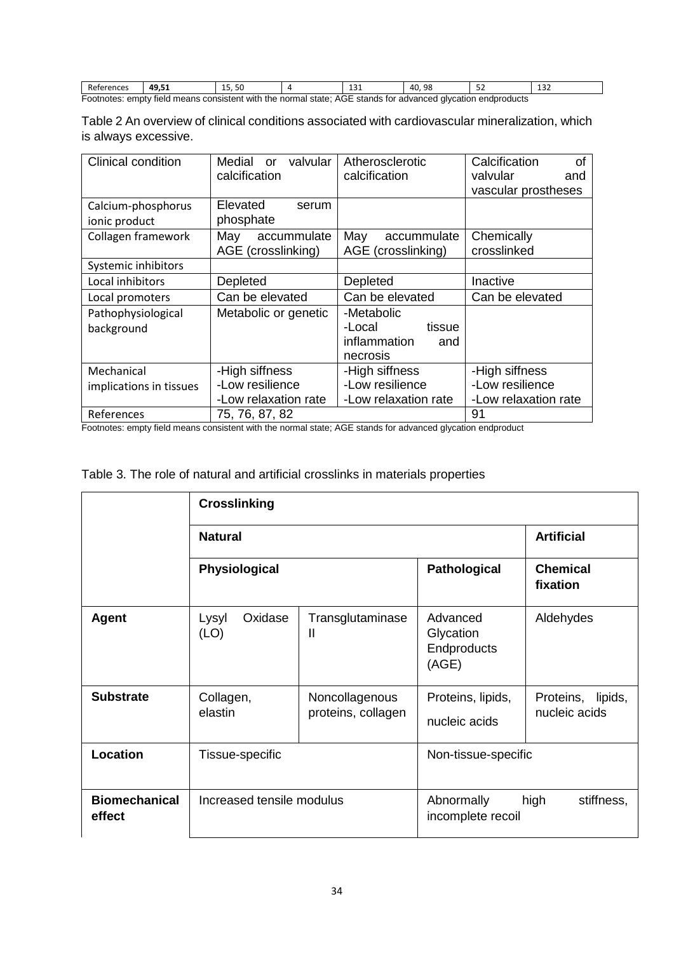| References                                                                                                   | 49.51 | 15.50 |  | ᆠᆦ | 40.98 |  | ⊥د⊥ |
|--------------------------------------------------------------------------------------------------------------|-------|-------|--|----|-------|--|-----|
| Footnotes: empty field means consistent with the normal state; AGE stands for advanced glycation endproducts |       |       |  |    |       |  |     |

| Table 2 An overview of clinical conditions associated with cardiovascular mineralization, which |  |
|-------------------------------------------------------------------------------------------------|--|
| is always excessive.                                                                            |  |

| <b>Clinical condition</b>           | Medial<br>valvular<br><sub>or</sub><br>calcification | Atherosclerotic<br>calcification                                  | Calcification<br>οf<br>valvular<br>and<br>vascular prostheses |
|-------------------------------------|------------------------------------------------------|-------------------------------------------------------------------|---------------------------------------------------------------|
| Calcium-phosphorus<br>ionic product | Elevated<br>serum<br>phosphate                       |                                                                   |                                                               |
| Collagen framework                  | May<br>accummulate<br>AGE (crosslinking)             | May<br>accummulate<br>AGE (crosslinking)                          | Chemically<br>crosslinked                                     |
| Systemic inhibitors                 |                                                      |                                                                   |                                                               |
| Local inhibitors                    | Depleted                                             | Depleted                                                          | Inactive                                                      |
| Local promoters                     | Can be elevated                                      | Can be elevated                                                   | Can be elevated                                               |
| Pathophysiological<br>background    | Metabolic or genetic                                 | -Metabolic<br>-Local<br>tissue<br>inflammation<br>and<br>necrosis |                                                               |
| Mechanical                          | -High siffness                                       | -High siffness                                                    | -High siffness                                                |
| implications in tissues             | -Low resilience                                      | -Low resilience                                                   | -Low resilience                                               |
|                                     | -Low relaxation rate                                 | -Low relaxation rate                                              | -Low relaxation rate                                          |
| References                          | 75, 76, 87, 82                                       |                                                                   | 91                                                            |

Footnotes: empty field means consistent with the normal state; AGE stands for advanced glycation endproduct

|  |  | Table 3. The role of natural and artificial crosslinks in materials properties |
|--|--|--------------------------------------------------------------------------------|

|                                | <b>Crosslinking</b>       |                                      |                                               |                                    |
|--------------------------------|---------------------------|--------------------------------------|-----------------------------------------------|------------------------------------|
|                                | <b>Natural</b>            | <b>Artificial</b>                    |                                               |                                    |
|                                | <b>Physiological</b>      |                                      | <b>Pathological</b>                           | <b>Chemical</b><br>fixation        |
| <b>Agent</b>                   | Oxidase<br>Lysyl<br>(LO)  | Transglutaminase<br>Ш                | Advanced<br>Glycation<br>Endproducts<br>(AGE) | Aldehydes                          |
| <b>Substrate</b>               | Collagen,<br>elastin      | Noncollagenous<br>proteins, collagen | Proteins, lipids,<br>nucleic acids            | Proteins, lipids,<br>nucleic acids |
| Location                       | Tissue-specific           |                                      | Non-tissue-specific                           |                                    |
| <b>Biomechanical</b><br>effect | Increased tensile modulus |                                      | Abnormally<br>incomplete recoil               | stiffness,<br>high                 |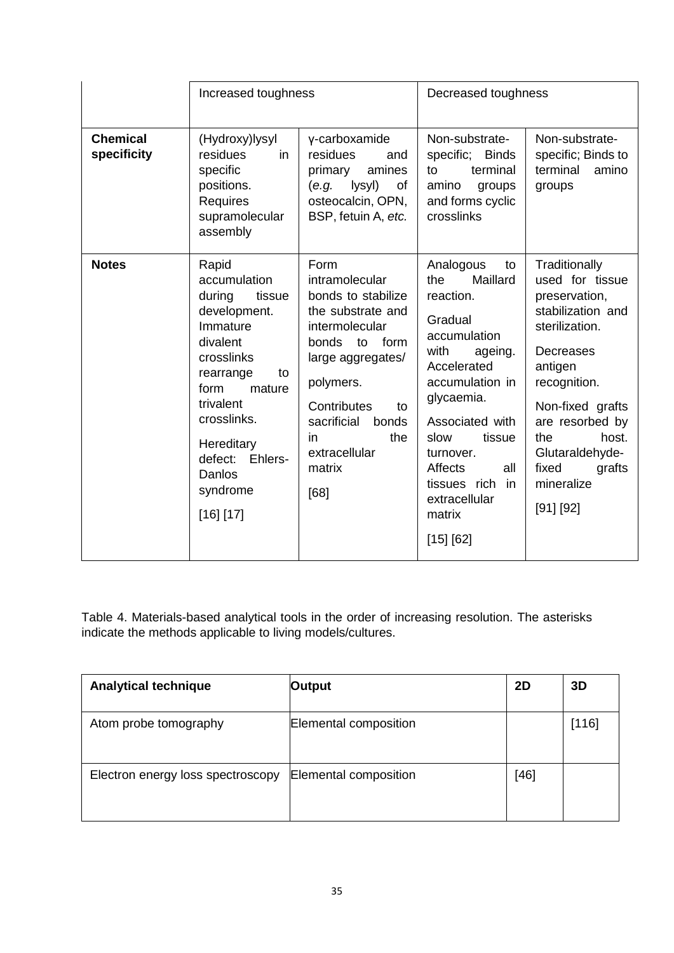|                                | Increased toughness                                                                                                                                                                                                                     |                                                                                                                                                                                                                                           | Decreased toughness                                                                                                                                                                                                                                                             |                                                                                                                                                                                                                                                          |  |
|--------------------------------|-----------------------------------------------------------------------------------------------------------------------------------------------------------------------------------------------------------------------------------------|-------------------------------------------------------------------------------------------------------------------------------------------------------------------------------------------------------------------------------------------|---------------------------------------------------------------------------------------------------------------------------------------------------------------------------------------------------------------------------------------------------------------------------------|----------------------------------------------------------------------------------------------------------------------------------------------------------------------------------------------------------------------------------------------------------|--|
| <b>Chemical</b><br>specificity | (Hydroxy)lysyl<br>residues<br>in<br>specific<br>positions.<br>Requires<br>supramolecular<br>assembly                                                                                                                                    | γ-carboxamide<br>residues<br>and<br>amines<br>primary<br>lysyl)<br>(e.g.<br>οf<br>osteocalcin, OPN,<br>BSP, fetuin A, etc.                                                                                                                | Non-substrate-<br>specific; Binds<br>terminal<br>to<br>amino<br>groups<br>and forms cyclic<br>crosslinks                                                                                                                                                                        | Non-substrate-<br>specific; Binds to<br>terminal<br>amino<br>groups                                                                                                                                                                                      |  |
| <b>Notes</b>                   | Rapid<br>accumulation<br>during<br>tissue<br>development.<br>Immature<br>divalent<br>crosslinks<br>rearrange<br>to<br>form<br>mature<br>trivalent<br>crosslinks.<br>Hereditary<br>defect:<br>Ehlers-<br>Danlos<br>syndrome<br>[16] [17] | Form<br>intramolecular<br>bonds to stabilize<br>the substrate and<br>intermolecular<br>form<br>bonds<br>to<br>large aggregates/<br>polymers.<br>Contributes<br>to<br>sacrificial<br>bonds<br>the<br>in<br>extracellular<br>matrix<br>[68] | Analogous<br>to<br>Maillard<br>the<br>reaction.<br>Gradual<br>accumulation<br>with<br>ageing.<br>Accelerated<br>accumulation in<br>glycaemia.<br>Associated with<br>slow<br>tissue<br>turnover.<br>Affects<br>all<br>tissues rich<br>in<br>extracellular<br>matrix<br>[15] [62] | Traditionally<br>used for tissue<br>preservation,<br>stabilization and<br>sterilization.<br>Decreases<br>antigen<br>recognition.<br>Non-fixed grafts<br>are resorbed by<br>the<br>host.<br>Glutaraldehyde-<br>fixed<br>grafts<br>mineralize<br>[91] [92] |  |

Table 4. Materials-based analytical tools in the order of increasing resolution. The asterisks indicate the methods applicable to living models/cultures.

| <b>Analytical technique</b>       | Output                | <b>2D</b> | 3D    |
|-----------------------------------|-----------------------|-----------|-------|
| Atom probe tomography             | Elemental composition |           | [116] |
| Electron energy loss spectroscopy | Elemental composition | $[46]$    |       |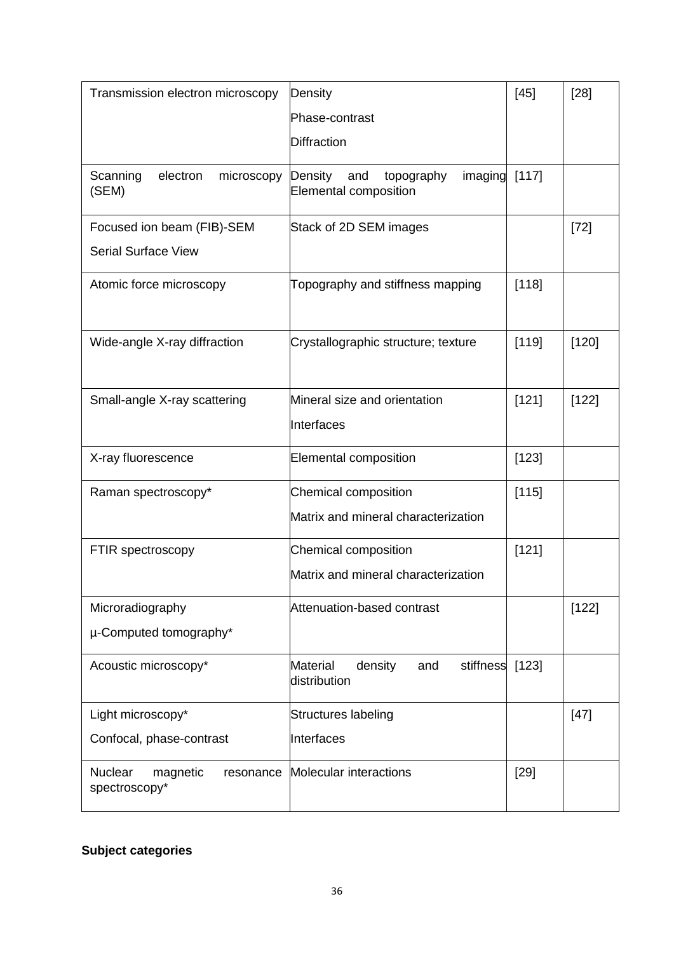| Transmission electron microscopy                  | Density                                                              | $[45]$ | $[28]$ |
|---------------------------------------------------|----------------------------------------------------------------------|--------|--------|
|                                                   | Phase-contrast                                                       |        |        |
|                                                   | <b>Diffraction</b>                                                   |        |        |
| Scanning<br>electron<br>microscopy<br>(SEM)       | topography<br>Density<br>imaging<br>and<br>Elemental composition     | [117]  |        |
| Focused ion beam (FIB)-SEM                        | Stack of 2D SEM images                                               |        | $[72]$ |
| <b>Serial Surface View</b>                        |                                                                      |        |        |
| Atomic force microscopy                           | Topography and stiffness mapping                                     | [118]  |        |
| Wide-angle X-ray diffraction                      | Crystallographic structure; texture                                  | [119]  | [120]  |
| Small-angle X-ray scattering                      | Mineral size and orientation<br>Interfaces                           | [121]  | [122]  |
| X-ray fluorescence                                | Elemental composition                                                | [123]  |        |
| Raman spectroscopy*                               | Chemical composition                                                 | [115]  |        |
|                                                   | Matrix and mineral characterization                                  |        |        |
| FTIR spectroscopy                                 | <b>Chemical composition</b>                                          | [121]  |        |
|                                                   | Matrix and mineral characterization                                  |        |        |
| Microradiography                                  | Attenuation-based contrast                                           |        | [122]  |
| µ-Computed tomography*                            |                                                                      |        |        |
| Acoustic microscopy*                              | <b>Material</b><br>density<br>stiffness [123]<br>and<br>distribution |        |        |
| Light microscopy*                                 | Structures labeling                                                  |        | $[47]$ |
| Confocal, phase-contrast                          | Interfaces                                                           |        |        |
| Nuclear<br>magnetic<br>resonance<br>spectroscopy* | Molecular interactions                                               | $[29]$ |        |

# **Subject categories**